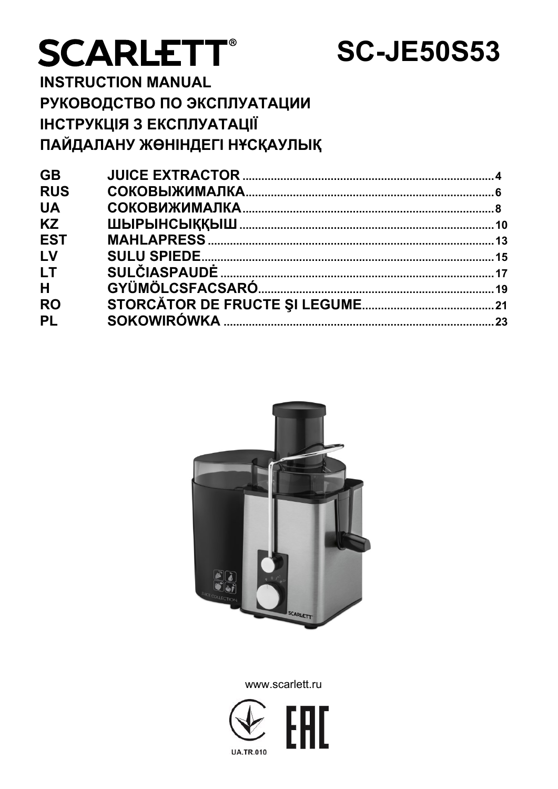# **SCARLETT®**

## **SC-JE50S53**

**INSTRUCTION MANUAL** РУКОВОДСТВО ПО ЭКСПЛУАТАЦИИ **ІНСТРУКЦІЯ З ЕКСПЛУАТАЦІЇ** ПАЙДАЛАНУ ЖӨНІНДЕГІ НҰСҚАУЛЫҚ

| <b>GB</b>  |  |
|------------|--|
| <b>RUS</b> |  |
| <b>UA</b>  |  |
| <b>KZ</b>  |  |
| <b>EST</b> |  |
| LV         |  |
| LT         |  |
| H          |  |
| <b>RO</b>  |  |
| <b>PL</b>  |  |
|            |  |



www.scarlett.ru

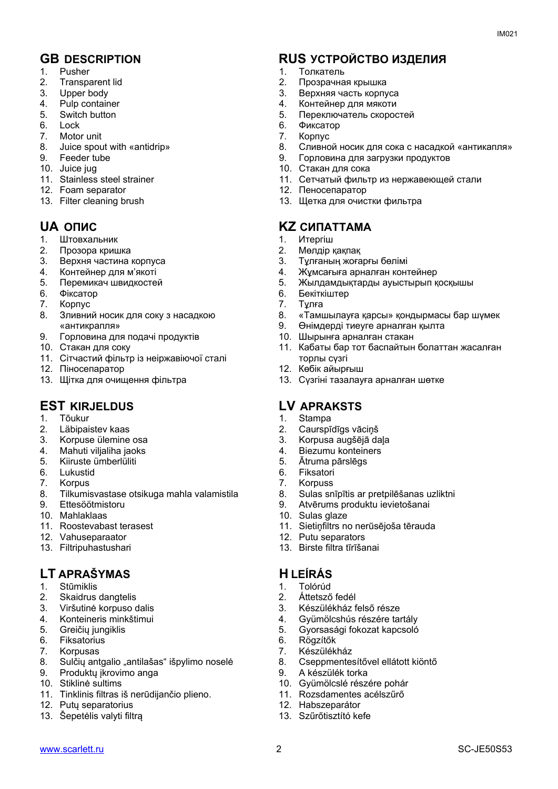- 1. Pusher
- 2. Transparent lid
- 3. Upper body
- 4. Pulp container
- 5. Switch button
- 6. Lock
- 7. Motor unit
- 8. Juice spout with «antidrip»
- 9. Feeder tube
- 10. Juice jug
- 11. Stainless steel strainer
- 12. Foam separator
- 13. Filter cleaning brush

- 1. Штовхальник
- 2. Прозора кришка
- 3. Верхня частина корпуса
- 4. Контейнер для м'якоті<br>5. Перемикач швидкосте
- 5. Перемикач швидкостей
- 6. Фіксатор
- 7. Корпус
- 8. Зливний носик для соку з насадкою «антикрапля»
- 9. Горловина для подачі продуктів
- 10. Стакан для соку
- 11. Сітчастий фільтр із неіржавіючої сталі
- 12. Піносепаратор
- 13. Щітка для очищення фільтра

#### **EST KIRJELDUS LV APRAKSTS**

- 1. Tõukur
- 2. Läbipaistev kaas
- 3. Korpuse ülemine osa
- 4. Mahuti viljaliha jaoks
- 5. Kiiruste ümberlüliti
- 6. Lukustid
- 7. Korpus
- 8. Tilkumisvastase otsikuga mahla valamistila
- 9. Ettesöötmistoru
- 10. Mahlaklaas
- 11. Roostevabast terasest
- 12. Vahuseparaator
- 13. Filtripuhastushari

## **LT APRAŠYMAS H LEÍRÁS**

- 1. Stūmiklis
- 2. Skaidrus dangtelis
- 3. Viršutinė korpuso dalis
- 4. Konteineris minkštimui<br>5. Greičių jungiklis
- 5. Greičių jungiklis
- **Fiksatorius**
- 7. Korpusas
- 8. Sulčių antgalio "antilašas" išpylimo noselė
- 9. Produktų įkrovimo anga
- 10. Stiklinė sultims
- 11. Tinklinis filtras iš nerūdijančio plieno.
- 12. Putų separatorius
- 13. Šepetėlis valyti filtrą

## **GB DESCRIPTION RUS УСТРОЙСТВО ИЗДЕЛИЯ**

- 1. Толкатель
- 2. Прозрачная крышка
- 3. Верхняя часть корпуса
- 4. Контейнер для мякоти
- 5. Переключатель скоростей
- 6. Фиксатор
- 7. Корпус
- 8. Сливной носик для сока с насадкой «антикапля»
- 9. Горловина для загрузки продуктов
- 10. Стакан для сока
- 11. Сетчатый фильтр из нержавеющей стали
- 12. Пеносепаратор
- 13. Щетка для очистки фильтра

## **UA ОПИС KZ СИПАТТАМА**

- 1. Итергіш
- 2. Мөлдір қақпақ
- 3. Тұлғаның жоғарғы бөлімі<br>4. Жұмсағыға арналған конт
- 4. Жұмсағыға арналған контейнер
- 5. Жылдамдықтарды ауыстырып қосқышы
- 6. Бекіткіштер<br>7. Тұлға
- 7. Тұлға
- 8. «Тамшылауға қарсы» қондырмасы бар шүмек
- 9. Өнімдерді тиеуге арналған қылта
- 10. Шырынға арналған стакан
- 11. Кабаты бар тот баспайтын болаттан жасалған торлы сүзгі
- 12. Көбік айырғыш
- 13. Сүзгіні тазалауға арналған шөтке

- 1. Stampa
- 2. Caurspīdīgs vāciņš
- 3. Korpusa augšējā daļa
- 4. Biezumu konteiners
- 5. Ātruma pārslēgs
- 6. Fiksatori
- 7. Korpuss
- 8. Sulas snīpītis ar pretpilēšanas uzliktni
- 9. Atvērums produktu ievietošanai
- 10. Sulas glaze
- 11. Sietiņfiltrs no nerūsējoša tērauda
- 12. Putu separators
- 13. Birste filtra tīrīšanai

3. Készülékház felső része

4. Gyümölcshús részére tartály<br>5. Gyorsasági fokozat kapcsoló 5. Gyorsasági fokozat kapcsoló

10. Gyümölcslé részére pohár 11. Rozsdamentes acélszűrő

8. Cseppmentesítővel ellátott kiöntő

## 1. Tolórúd

6. Rögzítők 7. Készülékház

2. Áttetsző fedél

9. A készülék torka

12. Habszeparátor 13. Szűrőtisztító kefe

[www.scarlett.ru](http://www.scarlett.ru/) 2 SC-JE50S53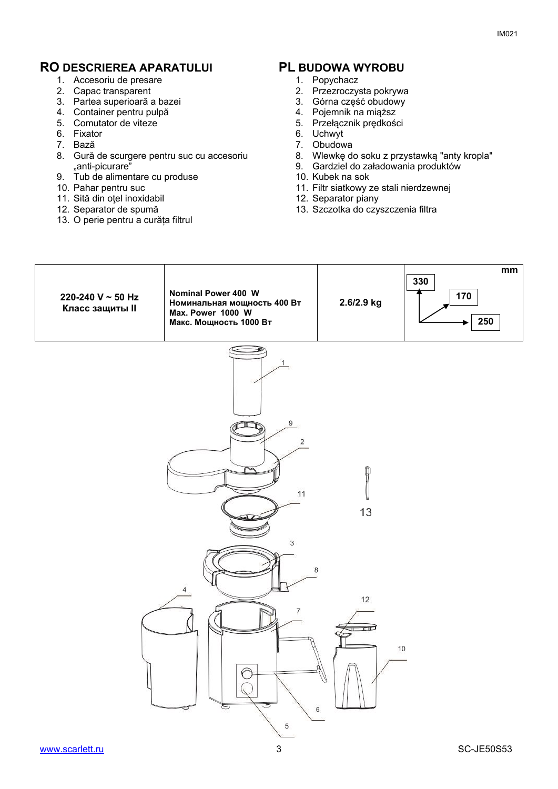#### **RO DESCRIEREA APARATULUI PL BUDOWA WYROBU**

- 1. Accesoriu de presare
- 2. Capac transparent
- 3. Partea superioară a bazei
- 4. Container pentru pulpă
- 5. Comutator de viteze
- 6. Fixator
- 7. Bază
- 8. Gură de scurgere pentru suc cu accesoriu "anti-picurare"
- 9. Tub de alimentare cu produse
- 10. Pahar pentru suc
- 11. Sită din oţel inoxidabil
- 12. Separator de spumă
- 13. O perie pentru a curăța filtrul

- 1. Popychacz
- 2. Przezroczysta pokrywa
- 3. Górna część obudowy
- 4. Pojemnik na miąższ
- 5. Przełącznik prędkości
- 6. Uchwyt
- 7. Obudowa
- 8. Wlewkę do soku z przystawką "anty kropla"
- 9. Gardziel do załadowania produktów
- 10. Kubek na sok
- 11. Filtr siatkowy ze stali nierdzewnej
- 12. Separator piany
- 13. Szczotka do czyszczenia filtra

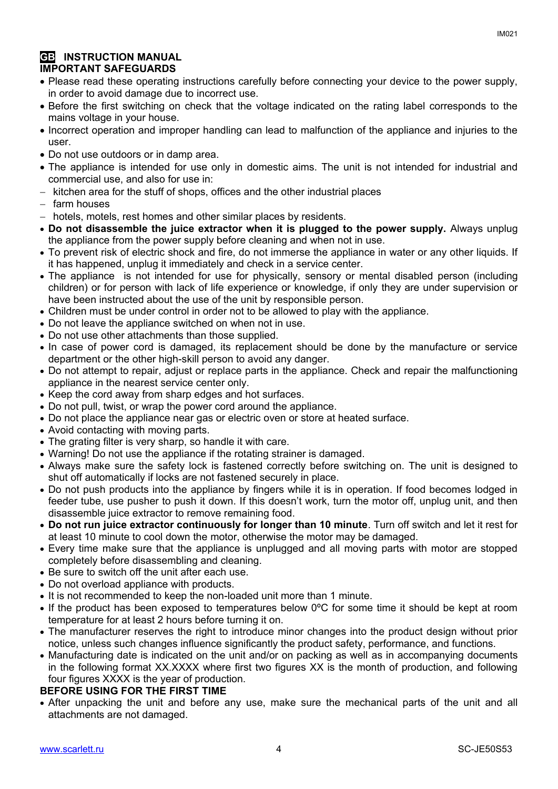#### **GB INSTRUCTION MANUAL IMPORTANT SAFEGUARDS**

- Please read these operating instructions carefully before connecting your device to the power supply, in order to avoid damage due to incorrect use.
- Before the first switching on check that the voltage indicated on the rating label corresponds to the mains voltage in your house.
- Incorrect operation and improper handling can lead to malfunction of the appliance and injuries to the user.
- Do not use outdoors or in damp area.
- The appliance is intended for use only in domestic aims. The unit is not intended for industrial and commercial use, and also for use in:
- $-$  kitchen area for the stuff of shops, offices and the other industrial places
- farm houses
- hotels, motels, rest homes and other similar places by residents.
- **Do not disassemble the juice extractor when it is plugged to the power supply.** Always unplug the appliance from the power supply before cleaning and when not in use.
- To prevent risk of electric shock and fire, do not immerse the appliance in water or any other liquids. If it has happened, unplug it immediately and check in a service center.
- The appliance is not intended for use for [physically, sensory or mental disabled](https://www.multitran.ru/c/m.exe?t=5841801_1_2&s1=%F7%E5%EB%EE%E2%E5%EA%20%F1%20%EE%E3%F0%E0%ED%E8%F7%E5%ED%ED%FB%EC%E8%20%E2%EE%E7%EC%EE%E6%ED%EE%F1%F2%FF%EC%E8) person (including children) or for person with lack of life experience or knowledge, if only they are under supervision or have been instructed about the use of the unit by responsible person.
- Children must be under control in order not to be allowed to play with the appliance.
- Do not leave the appliance switched on when not in use.
- Do not use other attachments than those supplied.
- In case of power cord is damaged, its replacement should be done by the manufacture or service department or the other high-skill person to avoid any danger.
- Do not attempt to repair, adjust or replace parts in the appliance. Check and repair the malfunctioning appliance in the nearest service center only.
- Keep the cord away from sharp edges and hot surfaces.
- Do not pull, twist, or wrap the power cord around the appliance.
- Do not place the appliance near gas or electric oven or store at heated surface.
- Avoid contacting with moving parts.
- The grating filter is very sharp, so handle it with care.
- Warning! Do not use the appliance if the rotating strainer is damaged.
- Always make sure the safety lock is fastened correctly before switching on. The unit is designed to shut off automatically if locks are not fastened securely in place.
- Do not push products into the appliance by fingers while it is in operation. If food becomes lodged in feeder tube, use pusher to push it down. If this doesn't work, turn the motor off, unplug unit, and then disassemble juice extractor to remove remaining food.
- **Do not run juice extractor continuously for longer than 10 minute**. Turn off switch and let it rest for at least 10 minute to cool down the motor, otherwise the motor may be damaged.
- Every time make sure that the appliance is unplugged and all moving parts with motor are stopped completely before disassembling and cleaning.
- Be sure to switch off the unit after each use.
- Do not overload appliance with products.
- It is not recommended to keep the non-loaded unit more than 1 minute.
- If the product has been exposed to temperatures below 0ºC for some time it should be kept at room temperature for at least 2 hours before turning it on.
- The manufacturer reserves the right to introduce minor changes into the product design without prior notice, unless such changes influence significantly the product safety, performance, and functions.
- Manufacturing date is indicated on the unit and/or on packing as well as in accompanying documents in the following format XX.XXXX where first two figures XX is the month of production, and following four figures XXXX is the year of production.

#### **BEFORE USING FOR THE FIRST TIME**

 After unpacking the unit and before any use, make sure the mechanical parts of the unit and all attachments are not damaged.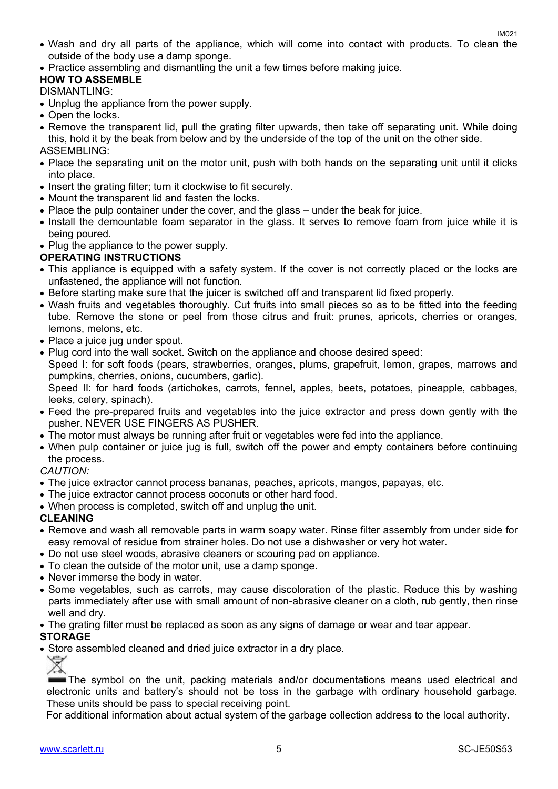- Wash and dry all parts of the appliance, which will come into contact with products. To clean the outside of the body use a damp sponge.
- Practice assembling and dismantling the unit a few times before making juice.

#### **HOW TO ASSEMBLE**

#### DISMANTLING:

- Unplug the appliance from the power supply.
- Open the locks.
- Remove the transparent lid, pull the grating filter upwards, then take off separating unit. While doing this, hold it by the beak from below and by the underside of the top of the unit on the other side. ASSEMBLING:
- Place the separating unit on the motor unit, push with both hands on the separating unit until it clicks into place.
- Insert the grating filter; turn it clockwise to fit securely.
- Mount the transparent lid and fasten the locks.
- Place the pulp container under the cover, and the glass under the beak for juice.
- Install the demountable foam separator in the glass. It serves to remove foam from juice while it is being poured.
- Plug the appliance to the power supply.

#### **OPERATING INSTRUCTIONS**

- This appliance is equipped with a safety system. If the cover is not correctly placed or the locks are unfastened, the appliance will not function.
- Before starting make sure that the juicer is switched off and transparent lid fixed properly.
- Wash fruits and vegetables thoroughly. Cut fruits into small pieces so as to be fitted into the feeding tube. Remove the stone or peel from those citrus and fruit: prunes, apricots, cherries or oranges, lemons, melons, etc.
- Place a juice jug under spout.
- Plug cord into the wall socket. Switch on the appliance and choose desired speed:

Speed I: for soft foods (pears, strawberries, oranges, plums, grapefruit, lemon, grapes, marrows and pumpkins, cherries, onions, cucumbers, garlic).

Speed II: for hard foods (artichokes, carrots, fennel, apples, beets, potatoes, pineapple, cabbages, leeks, celery, spinach).

- Feed the pre-prepared fruits and vegetables into the juice extractor and press down gently with the pusher. NEVER USE FINGERS AS PUSHER.
- The motor must always be running after fruit or vegetables were fed into the appliance.
- When pulp container or juice jug is full, switch off the power and empty containers before continuing the process.

#### *CAUTION:*

- The juice extractor cannot process bananas, peaches, apricots, mangos, papayas, etc.
- The juice extractor cannot process coconuts or other hard food.
- When process is completed, switch off and unplug the unit.

#### **CLEANING**

- Remove and wash all removable parts in warm soapy water. Rinse filter assembly from under side for easy removal of residue from strainer holes. Do not use a dishwasher or very hot water.
- Do not use steel woods, abrasive cleaners or scouring pad on appliance.
- To clean the outside of the motor unit, use a damp sponge.
- Never immerse the body in water.
- Some vegetables, such as carrots, may cause discoloration of the plastic. Reduce this by washing parts immediately after use with small amount of non-abrasive cleaner on a cloth, rub gently, then rinse well and dry.
- The grating filter must be replaced as soon as any signs of damage or wear and tear appear.

#### **STORAGE**

• Store assembled cleaned and dried juice extractor in a dry place.

The symbol on the unit, packing materials and/or documentations means used electrical and electronic units and battery's should not be toss in the garbage with ordinary household garbage. These units should be pass to special receiving point.

For additional information about actual system of the garbage collection address to the local authority.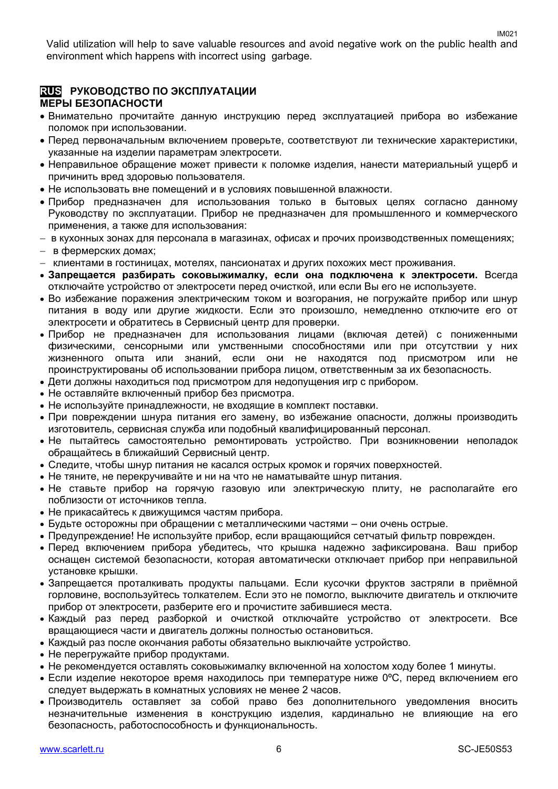Valid utilization will help to save valuable resources and avoid negative work on the public health and environment which happens with incorrect using garbage.

#### **RUS РУКОВОДСТВО ПО ЭКСПЛУАТАЦИИ МЕРЫ БЕЗОПАСНОСТИ**

- Внимательно прочитайте данную инструкцию перед эксплуатацией прибора во избежание поломок при использовании.
- Перед первоначальным включением проверьте, соответствуют ли технические характеристики, указанные на изделии параметрам электросети.
- Неправильное обращение может привести к поломке изделия, нанести материальный ущерб и причинить вред здоровью пользователя.
- Не использовать вне помещений и в условиях повышенной влажности.
- Прибор предназначен для использования только в бытовых целях согласно данному Руководству по эксплуатации. Прибор не предназначен для промышленного и коммерческого применения, а также для использования:
- в кухонных зонах для персонала в магазинах, офисах и прочих производственных помещениях;
- в фермерских домах;
- клиентами в гостиницах, мотелях, пансионатах и других похожих мест проживания.
- **Запрещается разбирать соковыжималку, если она подключена к электросети.** Всегда отключайте устройство от электросети перед очисткой, или если Вы его не используете.
- Во избежание поражения электрическим током и возгорания, не погружайте прибор или шнур питания в воду или другие жидкости. Если это произошло, немедленно отключите его от электросети и обратитесь в Сервисный центр для проверки.
- Прибор не предназначен для использования лицами (включая детей) с пониженными физическими, сенсорными или умственными способностями или при отсутствии у них жизненного опыта или знаний, если они не находятся под присмотром или не проинструктированы об использовании прибора лицом, ответственным за их безопасность.
- Дети должны находиться под присмотром для недопущения игр с прибором.
- Не оставляйте включенный прибор без присмотра.
- Не используйте принадлежности, не входящие в комплект поставки.
- При повреждении шнура питания его замену, во избежание опасности, должны производить изготовитель, сервисная служба или подобный квалифицированный персонал.
- Не пытайтесь самостоятельно ремонтировать устройство. При возникновении неполадок обращайтесь в ближайший Сервисный центр.
- Следите, чтобы шнур питания не касался острых кромок и горячих поверхностей.
- Не тяните, не перекручивайте и ни на что не наматывайте шнур питания.
- Не ставьте прибор на горячую газовую или электрическую плиту, не располагайте его поблизости от источников тепла.
- Не прикасайтесь к движущимся частям прибора.
- Будьте осторожны при обращении с металлическими частями они очень острые.
- Предупреждение! Не используйте прибор, если вращающийся сетчатый фильтр поврежден.
- Перед включением прибора убедитесь, что крышка надежно зафиксирована. Ваш прибор оснащен системой безопасности, которая автоматически отключает прибор при неправильной установке крышки.
- Запрещается проталкивать продукты пальцами. Если кусочки фруктов застряли в приёмной горловине, воспользуйтесь толкателем. Если это не помогло, выключите двигатель и отключите прибор от электросети, разберите его и прочистите забившиеся места.
- Каждый раз перед разборкой и очисткой отключайте устройство от электросети. Все вращающиеся части и двигатель должны полностью остановиться.
- Каждый раз после окончания работы обязательно выключайте устройство.
- Не перегружайте прибор продуктами.
- Не рекомендуется оставлять соковыжималку включенной на холостом ходу более 1 минуты.
- $\bullet$  Если изделие некоторое время находилось при температуре ниже 0°С, перед включением его следует выдержать в комнатных условиях не менее 2 часов.
- Производитель оставляет за собой право без дополнительного уведомления вносить незначительные изменения в конструкцию изделия, кардинально не влияющие на его безопасность, работоспособность и функциональность.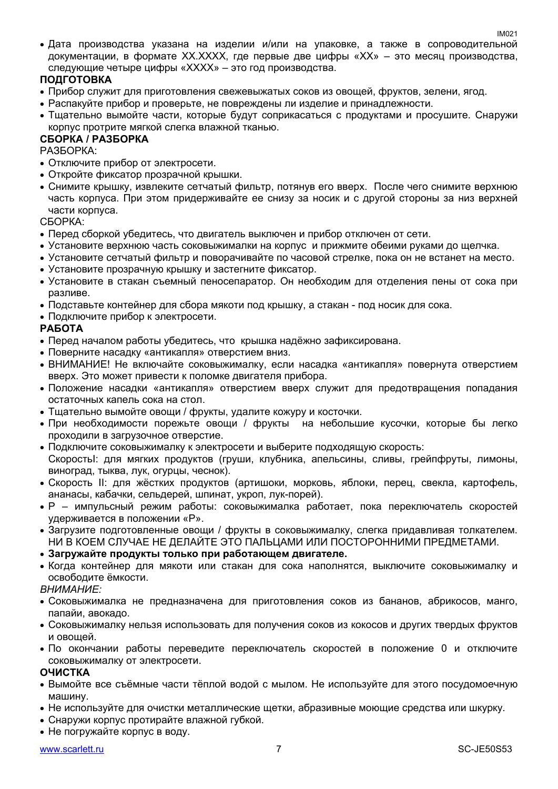Дата производства указана на изделии и/или на упаковке, а также в сопроводительной документации, в формате XX.XXXX, где первые две цифры «XX» – это месяц производства, следующие четыре цифры «XXXX» – это год производства.

#### **ПОДГОТОВКА**

- Прибор служит для приготовления свежевыжатых соков из овощей, фруктов, зелени, ягод.
- Распакуйте прибор и проверьте, не повреждены ли изделие и принадлежности.
- Тщательно вымойте части, которые будут соприкасаться с продуктами и просушите. Снаружи корпус протрите мягкой слегка влажной тканью.

#### **СБОРКА / РАЗБОРКА**

РАЗБОРКА:

- Отключите прибор от электросети.
- Откройте фиксатор прозрачной крышки.
- Снимите крышку, извлеките сетчатый фильтр, потянув его вверх. После чего снимите верхнюю часть корпуса. При этом придерживайте ее снизу за носик и с другой стороны за низ верхней части корпуса.

СБОРКА:

- Перед сборкой убедитесь, что двигатель выключен и прибор отключен от сети.
- Установите верхнюю часть соковыжималки на корпус и прижмите обеими руками до щелчка.
- Установите сетчатый фильтр и поворачивайте по часовой стрелке, пока он не встанет на место.
- Установите прозрачную крышку и застегните фиксатор.
- Установите в стакан съемный пеносепаратор. Он необходим для отделения пены от сока при разливе.
- Подставьте контейнер для сбора мякоти под крышку, а стакан под носик для сока.
- Подключите прибор к электросети.

#### **РАБОТА**

- Перед началом работы убедитесь, что крышка надёжно зафиксирована.
- Поверните насадку «антикапля» отверстием вниз.
- ВНИМАНИЕ! Не включайте соковыжималку, если насадка «антикапля» повернута отверстием вверх. Это может привести к поломке двигателя прибора.
- Положение насадки «антикапля» отверстием вверх служит для предотвращения попадания остаточных капель сока на стол.
- Тщательно вымойте овощи / фрукты, удалите кожуру и косточки.
- При необходимости порежьте овощи / фрукты на небольшие кусочки, которые бы легко проходили в загрузочное отверстие.
- Подключите соковыжималку к электросети и выберите подходящую скорость: СкоростьI: для мягких продуктов (груши, клубника, апельсины, сливы, грейпфруты, лимоны, виноград, тыква, лук, огурцы, чеснок).
- Скорость II: для жёстких продуктов (артишоки, морковь, яблоки, перец, свекла, картофель, ананасы, кабачки, сельдерей, шпинат, укроп, лук-порей).
- Р импульсный режим работы: соковыжималка работает, пока переключатель скоростей удерживается в положении «Р».
- Загрузите подготовленные овощи / фрукты в соковыжималку, слегка придавливая толкателем. НИ В КОЕМ СЛУЧАЕ НЕ ДЕЛАЙТЕ ЭТО ПАЛЬЦАМИ ИЛИ ПОСТОРОННИМИ ПРЕДМЕТАМИ.
- **Загружайте продукты только при работающем двигателе.**
- Когда контейнер для мякоти или стакан для сока наполнятся, выключите соковыжималку и освободите ёмкости.

*ВНИМАНИЕ:*

- Соковыжималка не предназначена для приготовления соков из бананов, абрикосов, манго, папайи, авокадо.
- Соковыжималку нельзя использовать для получения соков из кокосов и других твердых фруктов и овощей.
- По окончании работы переведите переключатель скоростей в положение 0 и отключите соковыжималку от электросети.

#### **ОЧИСТКА**

- Вымойте все съёмные части тёплой водой с мылом. Не используйте для этого посудомоечную машину.
- Не используйте для очистки металлические щетки, абразивные моющие средства или шкурку.
- Снаружи корпус протирайте влажной губкой.
- Не погружайте корпус в воду.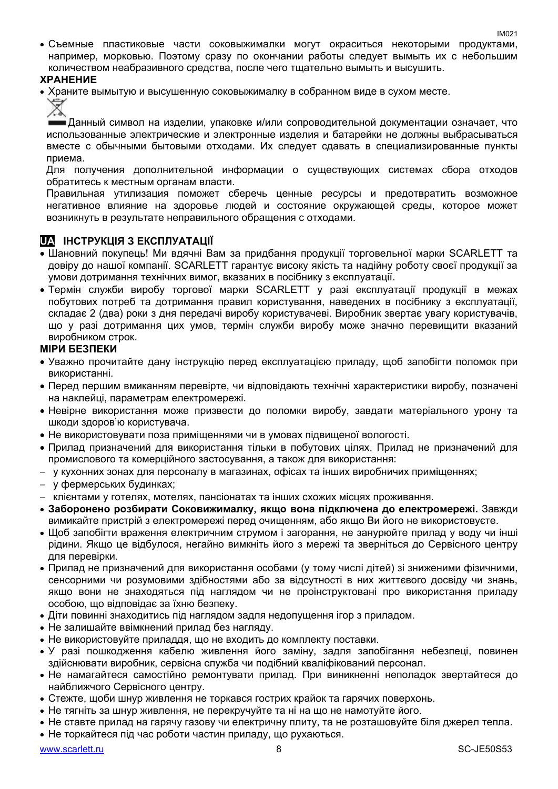Съемные пластиковые части соковыжималки могут окраситься некоторыми продуктами, например, морковью. Поэтому сразу по окончании работы следует вымыть их с небольшим количеством неабразивного средства, после чего тщательно вымыть и высушить.

#### **ХРАНЕНИЕ**

Храните вымытую и высушенную соковыжималку в собранном виде в сухом месте.

Данный символ на изделии, упаковке и/или сопроводительной документации означает, что использованные электрические и электронные изделия и батарейки не должны выбрасываться вместе с обычными бытовыми отходами. Их следует сдавать в специализированные пункты приема.

Для получения дополнительной информации о существующих системах сбора отходов обратитесь к местным органам власти.

Правильная утилизация поможет сберечь ценные ресурсы и предотвратить возможное негативное влияние на здоровье людей и состояние окружающей среды, которое может возникнуть в результате неправильного обращения с отходами.

#### **UA ІНСТРУКЦІЯ З ЕКСПЛУАТАЦІЇ**

- Шановний покупець! Ми вдячні Вам за придбання продукції торговельної марки SCARLETT та довіру до нашої компанії. SCARLETT гарантує високу якість та надійну роботу своєї продукції за умови дотримання технічних вимог, вказаних в посібнику з експлуатації.
- Термін служби виробу торгової марки SCARLETT у разі експлуатації продукції в межах побутових потреб та дотримання правил користування, наведених в посібнику з експлуатації, складає 2 (два) роки з дня передачі виробу користувачеві. Виробник звертає увагу користувачів, що у разі дотримання цих умов, термін служби виробу може значно перевищити вказаний виробником строк.

#### **МІРИ БЕЗПЕКИ**

- Уважно прочитайте дану інструкцію перед експлуатацією приладу, щоб запобігти поломок при використанні.
- Перед першим вмиканням перевірте, чи відповідають технічні характеристики виробу, позначені на наклейці, параметрам електромережі.
- Невiрне використання може призвести до поломки виробу, завдати матеріального урону та шкоди здоров'ю користувача.
- Не використовувати поза приміщеннями чи в умовах підвищеної вологості.
- Прилад призначений для використання тільки в побутових цілях. Прилад не призначений для промислового та комерційного застосування, а також для використання:
- у кухонних зонах для персоналу в магазинах, офісах та інших виробничих приміщеннях;
- у фермерських будинках;
- клієнтами у готелях, мотелях, пансіонатах та інших схожих місцях проживання.
- **Заборонено розбирати Соковижималку, якщо вона підключена до електромережі.** Завжди вимикайте пристрій з електромережі перед очищенням, або якщо Ви його не використовуєте.
- Щоб запобігти враження електричним струмом і загорання, не занурюйте прилад у воду чи інші рідини. Якщо це відбулося, негайно вимкніть його з мережі та зверніться до Сервісного центру для перевірки.
- Прилад не призначений для використання особами (у тому числі дітей) зі зниженими фізичними, сенсорними чи розумовими здібностями або за відсутності в них життєвого досвіду чи знань, якщо вони не знаходяться під наглядом чи не проінструктовані про використання приладу особою, що відповідає за їхню безпеку.
- Діти повинні знаходитись під наглядом задля недопущення ігор з приладом.
- Не залишайте ввімкнений прилад без нагляду.
- Не використовуйте приладдя, що не входить до комплекту поставки.
- У разі пошкодження кабелю живлення його заміну, задля запобігання небезпеці, повинен здійснювати виробник, сервісна служба чи подібний кваліфікований персонал.
- Не намагайтеся самостійно ремонтувати прилад. При виникненні неполадок звертайтеся до найближчого Сервісного центру.
- Стежте, щоби шнур живлення не торкався гострих крайок та гарячих поверхонь.
- Не тягніть за шнур живлення, не перекручуйте та ні на що не намотуйте його.
- Не ставте прилад на гарячу газову чи електричну плиту, та не розташовуйте біля джерел тепла.
- Не торкайтеся під час роботи частин приладу, що рухаються.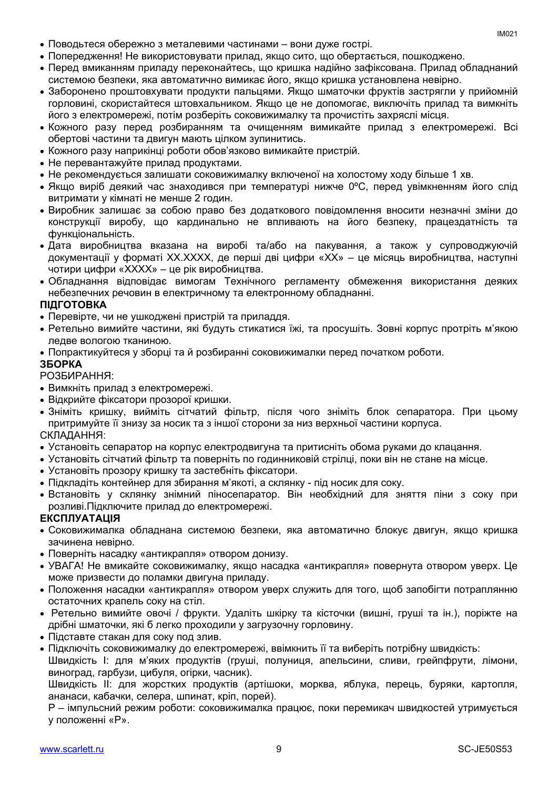- Поводьтеся обережно з металевими частинами вони дуже гострі.
- Попередження! Не використовувати прилад, якщо сито, що обертається, пошкоджено.
- Перед вмиканням приладу переконайтесь, що кришка надійно зафіксована. Прилад обладнаний системою безпеки, яка автоматично вимикає його, якщо кришка установлена невірно.
- Заборонено проштовхувати продукти пальцями. Якщо шматочки фруктів застрягли у прийомній горловині, скористайтеся штовхальником. Якщо це не допомогає, виключіть прилад та вимкніть його з електромережі, потім розберіть соковижималку та прочистіть захряслі місця.
- Кожного разу перед розбиранням та очищенням вимикайте прилад з електромережі. Всі обертові частини та двигун мають цілком зупинитись.
- Кожного разу наприкінці роботи обов'язково вимикайте пристрій.
- Не перевантажуйте прилад продуктами.
- Не рекомендується залишати соковижималку включеної на холостому ходу більше 1 хв.
- Якщо виріб деякий час знаходився при температурі нижче 0ºC, перед увімкненням його слід витримати у кімнаті не менше 2 годин.
- Виробник залишає за собою право без додаткового повідомлення вносити незначні зміни до конструкції виробу, що кардинально не впливають на його безпеку, працездатність та функціональність.
- Дата виробництва вказана на виробі та/або на пакування, а також у супроводжуючій документації у форматі XX.XXXX, де перші дві цифри «XX» – це місяць виробництва, наступні чотири цифри «XXXX» – це рік виробництва.
- Обладнання відповідає вимогам Технічного регламенту обмеження використання деяких небезпечних речовин в електричному та електронному обладнанні.

#### **ПІДГОТОВКА**

- Перевірте, чи не ушкоджені пристрій та приладдя.
- Ретельно вимийте частини, які будуть стикатися їжі, та просушіть. Зовні корпус протріть м'якою ледве вологою тканиною.
- Попрактикуйтеся у зборці та й розбиранні соковижималки перед початком роботи.

#### **ЗБОРКА**

#### РОЗБИРАННЯ:

- Вимкніть прилад з електромережі.
- Відкрийте фіксатори прозорої кришки.
- Зніміть кришку, вийміть сітчатий фільтр, після чого зніміть блок сепаратора. При цьому притримуйте її знизу за носик та з іншої сторони за низ верхньої частини корпуса. СКЛАДАННЯ:
- Установіть сепаратор на корпус електродвигуна та притисніть обома руками до клацання.
- Установіть сітчатий фільтр та поверніть по годинниковій стрілці, поки він не стане на місце.
- Установіть прозору кришку та застебніть фіксатори.
- Підкладіть контейнер для збирання м'якоті, а склянку під носик для соку.
- Встановіть у склянку знімний піносепаратор. Він необхідний для зняття піни з соку при розливі.Підключите прилад до електромережі.

#### **ЕКСПЛУАТАЦІЯ**

- Соковижималка обладнана системою безпеки, яка автоматично блокує двигун, якщо кришка зачинена невірно.
- Поверніть насадку «антикрапля» отвором донизу.
- УВАГА! Не вмикайте соковижималку, якщо насадка «антикрапля» повернута отвором уверх. Це може призвести до поламки двигуна приладу.
- Положення насадки «антикрапля» отвором уверх служить для того, щоб запобігти потраплянню остаточних крапель соку на стіл.
- Ретельно вимийте овочі / фрукти. Удаліть шкірку та кісточки (вишні, груші та ін.), поріжте на дрібні шматочки, які б легко проходили у загрузочну горловину.
- Підставте стакан для соку под злив.
- Підключіть соковижималку до електромережі, ввімкнить її та виберіть потрібну швидкість:

Швидкість I: для м'яких продуктів (груші, полуниця, апельсини, сливи, грейпфрути, лімони, виноград, гарбузи, цибуля, огірки, часник).

Швидкість II: для жорстких продуктів (артішоки, морква, яблука, перець, буряки, картопля, ананаси, кабачки, селера, шпинат, кріп, порей).

P – імпульсний режим роботи: соковижималка працює, поки перемикач швидкостей утримується у положенні «Р».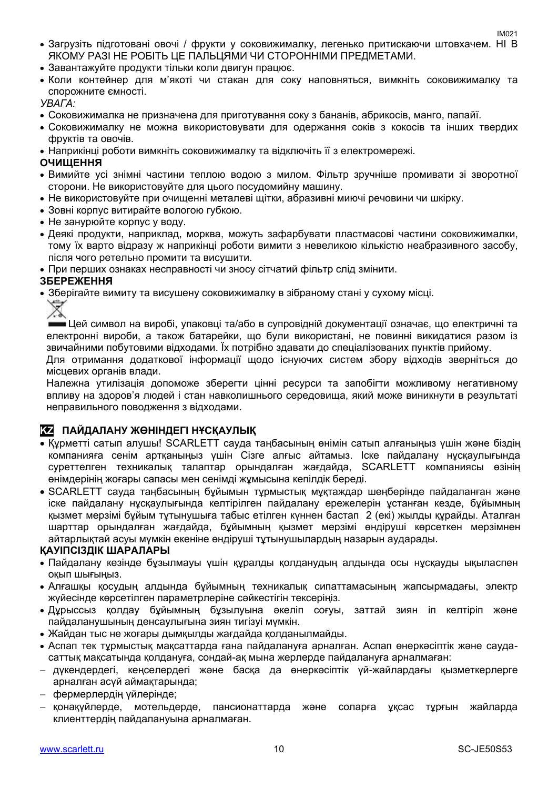- Загрузіть підготовані овочі / фрукти у соковижималку, легенько притискаючи штовхачем. НІ В ЯКОМУ РАЗІ НЕ РОБІТЬ ЦЕ ПАЛЬЦЯМИ ЧИ СТОРОННІМИ ПРЕДМЕТАМИ.
- Завантажуйте продукти тільки коли двигун працює.
- Коли контейнер для м'якоті чи стакан для соку наповняться, вимкніть соковижималку та спорожните ємності.

*УВАГА:*

- Соковижималка не призначена для приготування соку з бананів, абрикосів, манго, папайї.
- Соковижималку не можна використовувати для одержання соків з кокосів та інших твердих фруктів та овочів.
- Наприкінці роботи вимкніть соковижималку та відключіть її з електромережі.

#### **ОЧИЩЕННЯ**

- Вимийте усі знімні частини теплою водою з милом. Фільтр зручніше промивати зі зворотної сторони. Не використовуйте для цього посудомийну машину.
- Не використовуйте при очищенні металеві щітки, абразивні миючі речовини чи шкірку.
- Зовні корпус витирайте вологою губкою.
- Не занурюйте корпус у воду.
- Деякі продукти, наприклад, морква, можуть зафарбувати пластмасові частини соковижималки, тому їх варто відразу ж наприкінці роботи вимити з невеликою кількістю неабразивного засобу, після чого ретельно промити та висушити.
- При перших ознаках несправності чи зносу сітчатий фільтр слід змінити.

#### **ЗБЕРЕЖЕННЯ**

Зберігайте вимиту та висушену соковижималку в зібраному стані у сухому місці.

Цей символ на виробі, упаковці та/або в супровідній документації означає, що електричні та електронні вироби, а також батарейки, що були використані, не повинні викидатися разом із звичайними побутовими відходами. Їх потрібно здавати до спеціалізованих пунктів прийому.

Для отримання додаткової інформації щодо існуючих систем збору відходів зверніться до місцевих органів влади.

Належна утилізація допоможе зберегти цінні ресурси та запобігти можливому негативному впливу на здоров'я людей і стан навколишнього середовища, який може виникнути в результаті неправильного поводження з відходами.

#### **KZ ПАЙДАЛАНУ ЖӨНІНДЕГІ НҰСҚАУЛЫҚ**

- Құрметті сатып алушы! SCARLETT сауда таңбасының өнімін сатып алғаныңыз үшін және біздің компанияға сенім артқаныңыз үшін Сізге алғыс айтамыз. Іске пайдалану нұсқаулығында суреттелген техникалық талаптар орындалған жағдайда, SCARLETT компаниясы өзінің өнімдерінің жоғары сапасы мен сенімді жұмысына кепілдік береді.
- SCARLETT сауда таңбасының бұйымын тұрмыстық мұқтаждар шеңберінде пайдаланған және іске пайдалану нұсқаулығында келтірілген пайдалану ережелерін ұстанған кезде, бұйымның қызмет мерзімі бұйым тұтынушыға табыс етілген күннен бастап 2 (екі) жылды құрайды. Аталған шарттар орындалған жағдайда, бұйымның қызмет мерзімі өндіруші көрсеткен мерзімнен айтарлықтай асуы мүмкін екеніне өндіруші тұтынушылардың назарын аударады.

#### **ҚАУІПСІЗДІК ШАРАЛАРЫ**

- Пайдалану кезінде бұзылмауы үшін құралды қолданудың алдында осы нұсқауды ықыласпен оқып шығыңыз.
- Алғашқы қосудың алдында бұйымның техникалық сипаттамасының жапсырмадағы, электр жүйесінде көрсетілген параметрлеріне сәйкестігін тексеріңіз.
- Дұрыссыз қолдау бұйымның бұзылуына әкеліп соғуы, заттай зиян іп келтіріп және пайдаланушының денсаулығына зиян тигізуі мүмкін.
- Жайдан тыс не жоғары дымқылды жағдайда қолданылмайды.
- Аспап тек тұрмыстық мақсаттарда ғана пайдалануға арналған. Аспап өнеркәсіптік және саудасаттық мақсатында қолдануға, сондай-ақ мына жерлерде пайдалануға арналмаған:
- дүкендердегі, кеңселердегі және басқа да өнеркәсіптік үй-жайлардағы қызметкерлерге арналған асүй аймақтарында;
- фермерлердің үйлерінде;
- қонақүйлерде, мотельдерде, пансионаттарда және соларға ұқсас тұрғын жайларда клиенттердің пайдалануына арналмаған.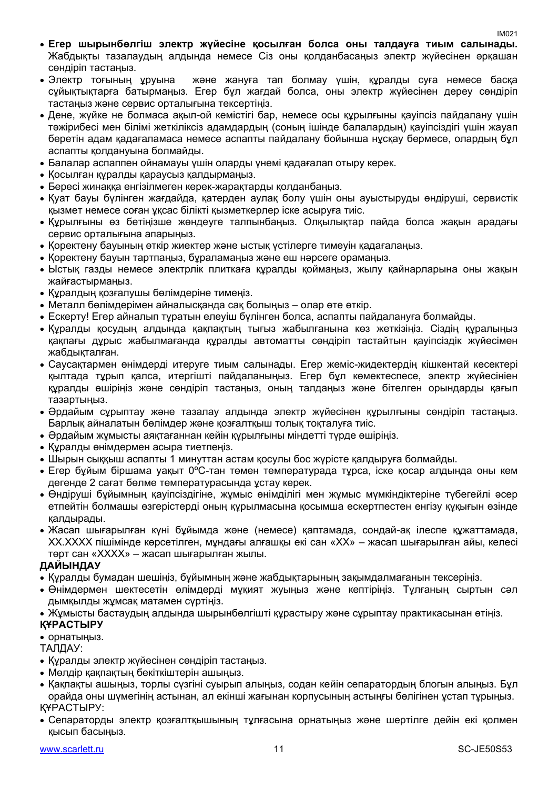- **Егер шырынбөлгіш электр жүйесіне қосылған болса оны талдауға тиым салынады.** Жабдықты тазалаудың алдында немесе Сіз оны қолданбасаңыз электр жүйесінен әрқашан сөндіріп тастаңыз.
- Электр тоғының ұруына және жануға тап болмау үшін, құралды суға немесе басқа сұйықтықтарға батырмаңыз. Егер бұл жағдай болса, оны электр жүйесінен дереу сөндіріп тастаңыз және сервис орталығына тексертіңіз.
- Дене, жүйке не болмаса ақыл-ой кемістігі бар, немесе осы құрылғыны қауіпсіз пайдалану үшін тәжірибесі мен білімі жеткіліксіз адамдардың (соның ішінде балалардың) қауіпсіздігі үшін жауап беретін адам қадағаламаса немесе аспапты пайдалану бойынша нұсқау бермесе, олардың бұл аспапты қолдануына болмайды.
- Балалар аспаппен ойнамауы үшін оларды үнемі қадағалап отыру керек.
- Қосылған құралды қараусыз қалдырмаңыз.
- Бересі жинаққа енгізілмеген керек-жарақтарды қолданбаңыз.
- Қуат бауы бүлінген жағдайда, қатерден аулақ болу үшін оны ауыстыруды өндіруші, сервистік қызмет немесе соған ұқсас білікті қызметкерлер іске асыруға тиіс.
- Құрылғыны өз бетіңізше жөндеуге талпынбаңыз. Олқылықтар пайда болса жақын арадағы сервис орталығына апарыңыз.
- Қоректену бауының өткір жиектер және ыстық үстілерге тимеуін қадағалаңыз.
- Қоректену бауын тартпаңыз, бұраламаңыз және еш нәрсеге орамаңыз.
- Ыстық газды немесе электрлік плиткаға құралды қоймаңыз, жылу қайнарларына оны жақын жайғастырмаңыз.
- Құралдың қозғалушы бөлімдеріне тимеңіз.
- Металл бөлімдерімен айналысқанда сақ болыңыз олар өте өткір.
- Ескерту! Егер айналып тұратын елеуіш бүлінген болса, аспапты пайдалануға болмайды.
- Құралды қосудың алдында қақпақтың тығыз жабылғанына көз жеткізіңіз. Сіздің құралыңыз қақпағы дұрыс жабылмағанда құралды автоматты сөндіріп тастайтын қауіпсіздік жүйесімен жабдықталған.
- Саусақтармен өнімдерді итеруге тиым салынады. Егер жеміс-жидектердің кішкентай кесектері қылтада тұрып қалса, итергішті пайдаланыңыз. Егер бұл көмектеспесе, электр жүйесініен құралды өшіріңіз және сөндіріп тастаңыз, оның талдаңыз және бітелген орындарды қағып тазартыңыз.
- Әрдайым сұрыптау және тазалау алдында электр жүйесінен құрылғыны сөндіріп тастаңыз. Барлық айналатын бөлімдер және қозғалтқыш толық тоқталуға тиіс.
- Әрдайым жұмысты аяқтағаннан кейін құрылғыны міндетті түрде өшіріңіз.
- Құралды өнімдермен асыра тиетпеңіз.
- Шырын сыққыш аспапты 1 минуттан астам қосулы бос жүрісте қалдыруға болмайды.
- Егер бұйым біршама уақыт 0ºC-тан төмен температурада тұрса, іске қосар алдында оны кем дегенде 2 сағат бөлме температурасында ұстау керек.
- Өндіруші бұйымның қауіпсіздігіне, жұмыс өнімділігі мен жұмыс мүмкіндіктеріне түбегейлі әсер етпейтін болмашы өзгерістерді оның құрылмасына қосымша ескертпестен енгізу құқығын өзінде қалдырады.
- Жасап шығарылған күні бұйымда және (немесе) қаптамада, сондай-ақ ілеспе құжаттамада, XX.XXXX пішімінде көрсетілген, мұндағы алғашқы екі сан «XX» – жасап шығарылған айы, келесі төрт сан «XXXX» – жасап шығарылған жылы.

#### **ДАЙЫНДАУ**

- Құралды бумадан шешіңіз, бұйымның және жабдықтарының зақымдалмағанын тексеріңіз.
- Өнімдермен шектесетін өлімдерді мұқият жуыңыз және кептіріңіз. Тұлғаның сыртын сәл дымқылды жұмсақ матамен сүртіңіз.
- Жұмысты бастаудың алдында шырынбөлгішті құрастыру және сұрыптау практикасынан өтіңіз.

#### **ҚҰРАСТЫРУ**

#### • орнатыныз.

ТАЛДАУ:

- Құралды электр жүйесінен сөндіріп тастаңыз.
- Мөлдір қақпақтың бекіткіштерін ашыңыз.
- Қақпақты ашыңыз, торлы сүзгіні суырып алыңыз, содан кейін сепаратордың блогын алыңыз. Бұл орайда оны шүмегінің астынан, ал екінші жағынан корпусының астыңғы бөлігінен ұстап тұрыңыз. ҚҰРАСТЫРУ:
- Сепараторды электр қозғалтқышының тұлғасына орнатыңыз және шертілге дейін екі қолмен қысып басыңыз.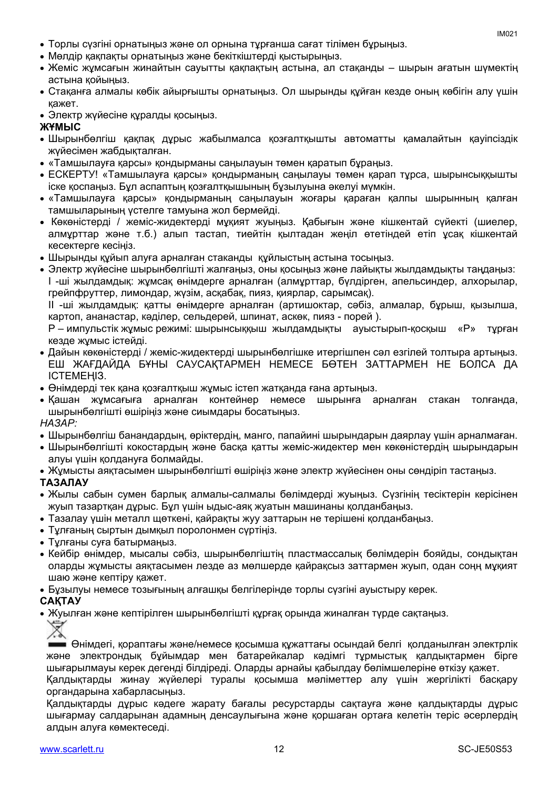- Торлы сүзгіні орнатыңыз және ол орнына тұрғанша сағат тілімен бұрыңыз.
- Мөлдір қақпақты орнатыңыз және бекіткіштерді қыстырыңыз.
- Жеміс жұмсағын жинайтын сауытты қақпақтың астына, ал стақанды шырын ағатын шүмектің астына қойыңыз.
- Стақанға алмалы көбік айырғышты орнатыңыз. Ол шырынды құйған кезде оның көбігін алу үшін қажет.
- Электр жүйесіне құралды қосыңыз.

#### **ЖҰМЫС**

- Шырынбөлгіш қақпақ дұрыс жабылмалса қозғалтқышты автоматты қамалайтын қауіпсіздік жүйесімен жабдықталған.
- «Тамшылауға қарсы» қондырманы саңылауын төмен қаратып бұраңыз.
- ЕСКЕРТУ! «Тамшылауға қарсы» қондырманың саңылауы төмен қарап тұрса, шырынсыққышты іске қоспаңыз. Бұл аспаптың қозғалтқышының бұзылуына әкелуі мүмкін.
- «Тамшылауға қарсы» қондырманың саңылауын жоғары қараған қалпы шырынның қалған тамшыларының үстелге тамуына жол бермейді.
- Көкөністерді / жеміс-жидектерді мұқият жүыңыз. Қабығын және кішкентай сүйекті (шиелер, алмұрттар және т.б.) алып тастап, тиейтін қылтадан жеңіл өтетіндей етіп ұсақ кішкентай кесектерге кесіңіз.
- Шырынды құйып алуға арналған стаканды құйлыстың астына тосыңыз.
- Электр жүйесіне шырынбөлгішті жалғаңыз, оны қосыңыз және лайықты жылдамдықты таңдаңыз: I -ші жылдамдық: жұмсақ өнімдерге арналған (алмұрттар, бүлдірген, апельсиндер, алхорылар, грейпфруттер, лимондар, жүзім, асқабақ, пияз, қиярлар, сарымсақ).

II -ші жылдамдық: қатты өнімдерге арналған (артишоктар, сәбіз, алмалар, бұрыш, қызылша, картоп, ананастар, кәділер, сельдерей, шпинат, аскөк, пияз - порей ).

P – импульстік жұмыс режимі: шырынсыққыш жылдамдықты ауыстырып-қосқыш «Р» тұрған кезде жұмыс істейді.

- Дайын көкөністерді / жеміс-жидектерді шырынбөлгішке итергішпен сәл езгілей толтыра артыңыз. ЕШ ЖАҒДАЙДА БҰНЫ САУСАҚТАРМЕН НЕМЕСЕ БӨТЕН ЗАТТАРМЕН НЕ БОЛСА ДА ІСТЕМЕҢІЗ.
- Өнімдерді тек қана қозғалтқыш жұмыс істеп жатқанда ғана артыңыз.
- Қашан жұмсағыға арналған контейнер немесе шырынға арналған стакан толғанда, шырынбөлгішті өшіріңіз және сиымдары босатыңыз.

*НАЗАР:*

- Шырынбөлгіш банандардың, өріктердің, манго, папайині шырындарын даярлау үшін арналмаған.
- Шырынбөлгішті кокостардың және басқа қатты жеміс-жидектер мен көкөністердің шырындарын алуы үшін қолдануға болмайды.
- Жұмысты аяқтасымен шырынбөлгішті өшіріңіз және электр жүйесінен оны сөндіріп тастаңыз.

#### **ТАЗАЛАУ**

- Жылы сабын сумен барлық алмалы-салмалы бөлімдерді жуыңыз. Сүзгінің тесіктерін керісінен жуып тазартқан дұрыс. Бұл үшін ыдыс-аяқ жуатын машинаны қолданбаңыз.
- Тазалау үшін металл щөткені, қайрақты жуу заттарын не терішені қолданбаңыз.
- Тұлғаның сыртын дымқыл поролонмен сүртіңіз.
- Тұлғаны суға батырмаңыз.
- Кейбір өнімдер, мысалы сәбіз, шырынбөлгіштің пластмассалық бөлімдерін бояйды, сондықтан оларды жұмысты аяқтасымен лезде аз мөлшерде қайрақсыз заттармен жүып, одан соңң мұқият шаю және кептіру қажет.
- Бұзылуы немесе тозығының алғашқы белгілерінде торлы сүзгіні ауыстыру керек.

#### **САҚТАУ**

Жуылған және кептірілген шырынбөлгішті құрғақ орында жиналған түрде сақтаңыз.



Өнімдегі, қораптағы және/немесе қосымша құжаттағы осындай белгі қолданылған электрлік және электрондық бұйымдар мен батарейкалар кәдімгі тұрмыстық қалдықтармен бірге шығарылмауы керек дегенді білдіреді. Оларды арнайы қабылдау бөлімшелеріне өткізу қажет.

Қалдықтарды жинау жүйелері туралы қосымша мәліметтер алу үшін жергілікті басқару органдарына хабарласыңыз.

Қалдықтарды дұрыс кәдеге жарату бағалы ресурстарды сақтауға және қалдықтарды дұрыс шығармау салдарынан адамның денсаулығына және қоршаған ортаға келетін теріс әсерлердің алдын алуға көмектеседі.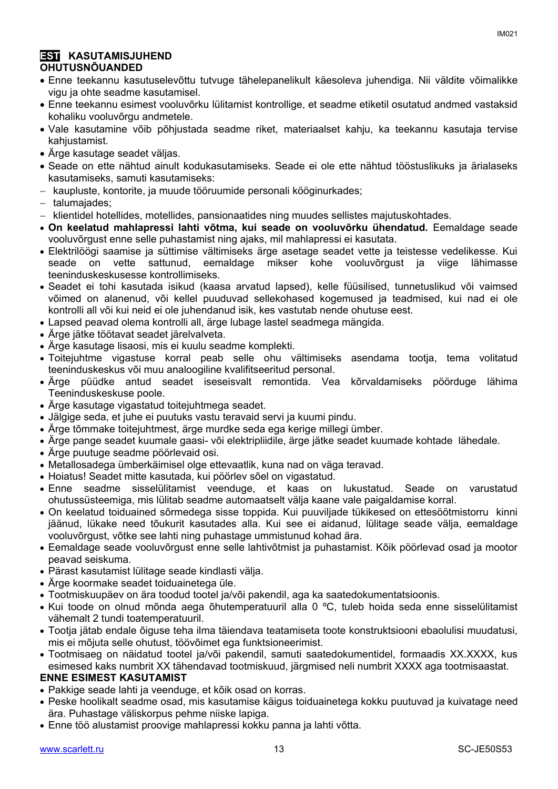#### **EST KASUTAMISJUHEND OHUTUSNÕUANDED**

- Enne teekannu kasutuselevõttu tutvuge tähelepanelikult käesoleva juhendiga. Nii väldite võimalikke vigu ja ohte seadme kasutamisel.
- Enne teekannu esimest vooluvõrku lülitamist kontrollige, et seadme etiketil osutatud andmed vastaksid kohaliku vooluvõrgu andmetele.
- Vale kasutamine võib põhjustada seadme riket, materiaalset kahju, ka teekannu kasutaja tervise kahjustamist.
- Ärge kasutage seadet väljas.
- Seade on ette nähtud ainult kodukasutamiseks. Seade ei ole ette nähtud tööstuslikuks ja ärialaseks kasutamiseks, samuti kasutamiseks:
- kaupluste, kontorite, ja muude tööruumide personali kööginurkades;
- talumajades:
- klientidel hotellides, motellides, pansionaatides ning muudes sellistes majutuskohtades.
- **On keelatud mahlapressi lahti võtma, kui seade on vooluvõrku ühendatud.** Eemaldage seade vooluvõrgust enne selle puhastamist ning ajaks, mil mahlapressi ei kasutata.
- Elektrilöögi saamise ja süttimise vältimiseks ärge asetage seadet vette ja teistesse vedelikesse. Kui seade on vette sattunud, eemaldage mikser kohe vooluvõrgust ja viige lähimasse teeninduskeskusesse kontrollimiseks.
- Seadet ei tohi kasutada isikud (kaasa arvatud lapsed), kelle füüsilised, tunnetuslikud või vaimsed võimed on alanenud, või kellel puuduvad sellekohased kogemused ja teadmised, kui nad ei ole kontrolli all või kui neid ei ole juhendanud isik, kes vastutab nende ohutuse eest.
- Lapsed peavad olema kontrolli all, ärge lubage lastel seadmega mängida.
- Ärge jätke töötavat seadet järelvalveta.
- Ärge kasutage lisaosi, mis ei kuulu seadme komplekti.
- Toitejuhtme vigastuse korral peab selle ohu vältimiseks asendama tootja, tema volitatud teeninduskeskus või muu analoogiline kvalifitseeritud personal.
- Ärge püüdke antud seadet iseseisvalt remontida. Vea kõrvaldamiseks pöörduge lähima Teeninduskeskuse poole.
- Ärge kasutage vigastatud toitejuhtmega seadet.
- Jälgige seda, et juhe ei puutuks vastu teravaid servi ja kuumi pindu.
- Ärge tõmmake toitejuhtmest, ärge murdke seda ega kerige millegi ümber.
- Ärge pange seadet kuumale gaasi- või elektripliidile, ärge jätke seadet kuumade kohtade lähedale.
- Ärge puutuge seadme pöörlevaid osi.
- Metallosadega ümberkäimisel olge ettevaatlik, kuna nad on väga teravad.
- Hoiatus! Seadet mitte kasutada, kui pöörlev sõel on vigastatud.
- Enne seadme sisselülitamist veenduge, et kaas on lukustatud. Seade on varustatud ohutussüsteemiga, mis lülitab seadme automaatselt välja kaane vale paigaldamise korral.
- On keelatud toiduained sõrmedega sisse toppida. Kui puuviljade tükikesed on ettesöötmistorru kinni jäänud, lükake need tõukurit kasutades alla. Kui see ei aidanud, lülitage seade välja, eemaldage vooluvõrgust, võtke see lahti ning puhastage ummistunud kohad ära.
- Eemaldage seade vooluvõrgust enne selle lahtivõtmist ja puhastamist. Kõik pöörlevad osad ja mootor peavad seiskuma.
- Pärast kasutamist lülitage seade kindlasti välja.
- Ärge koormake seadet toiduainetega üle.
- Tootmiskuupäev on ära toodud tootel ja/või pakendil, aga ka saatedokumentatsioonis.
- Kui toode on olnud mõnda aega õhutemperatuuril alla 0 ºC, tuleb hoida seda enne sisselülitamist vähemalt 2 tundi toatemperatuuril.
- Tootja jätab endale õiguse teha ilma täiendava teatamiseta toote konstruktsiooni ebaolulisi muudatusi, mis ei mõjuta selle ohutust, töövõimet ega funktsioneerimist.
- Tootmisaeg on näidatud tootel ja/või pakendil, samuti saatedokumentidel, formaadis XX.XXXX, kus esimesed kaks numbrit XX tähendavad tootmiskuud, järgmised neli numbrit XXXX aga tootmisaastat.

#### **ENNE ESIMEST KASUTAMIST**

- Pakkige seade lahti ja veenduge, et kõik osad on korras.
- Peske hoolikalt seadme osad, mis kasutamise käigus toiduainetega kokku puutuvad ja kuivatage need ära. Puhastage väliskorpus pehme niiske lapiga.
- Enne töö alustamist proovige mahlapressi kokku panna ja lahti võtta.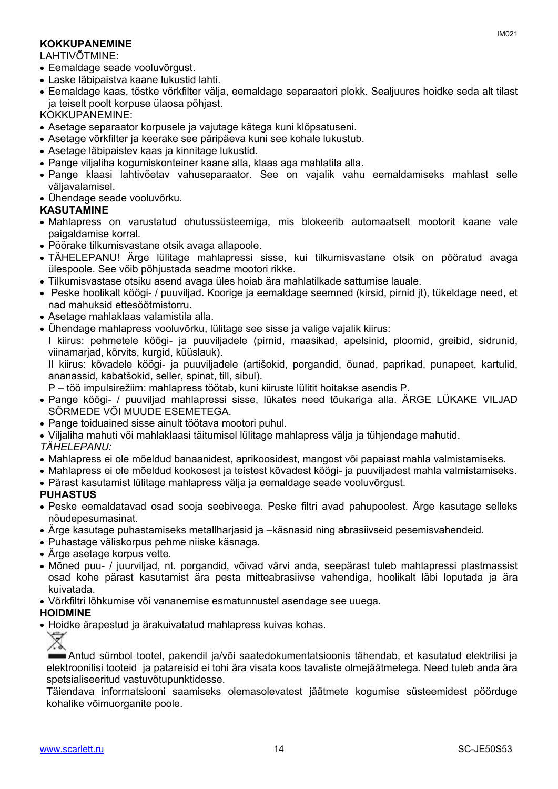#### **KOKKUPANEMINE**

LAHTIVÕTMINE:

- Eemaldage seade vooluvõrgust.
- Laske läbipaistva kaane lukustid lahti.
- Eemaldage kaas, tõstke võrkfilter välja, eemaldage separaatori plokk. Sealjuures hoidke seda alt tilast ja teiselt poolt korpuse ülaosa põhjast.

KOKKUPANEMINE:

- Asetage separaator korpusele ja vajutage kätega kuni klõpsatuseni.
- Asetage võrkfilter ja keerake see päripäeva kuni see kohale lukustub.
- Asetage läbipaistev kaas ja kinnitage lukustid.
- Pange viljaliha kogumiskonteiner kaane alla, klaas aga mahlatila alla.
- Pange klaasi lahtivõetav vahuseparaator. See on vajalik vahu eemaldamiseks mahlast selle väljavalamisel.
- Ühendage seade vooluvõrku.

#### **KASUTAMINE**

- Mahlapress on varustatud ohutussüsteemiga, mis blokeerib automaatselt mootorit kaane vale paigaldamise korral.
- Pöörake tilkumisvastane otsik avaga allapoole.
- TÄHELEPANU! Ärge lülitage mahlapressi sisse, kui tilkumisvastane otsik on pööratud avaga ülespoole. See võib põhjustada seadme mootori rikke.
- Tilkumisvastase otsiku asend avaga üles hoiab ära mahlatilkade sattumise lauale.
- Peske hoolikalt köögi- / puuviljad. Koorige ja eemaldage seemned (kirsid, pirnid jt), tükeldage need, et nad mahuksid ettesöötmistorru.
- Asetage mahlaklaas valamistila alla.
- Ühendage mahlapress vooluvõrku, lülitage see sisse ja valige vajalik kiirus:

I kiirus: pehmetele köögi- ja puuviljadele (pirnid, maasikad, apelsinid, ploomid, greibid, sidrunid, viinamarjad, kõrvits, kurgid, küüslauk).

II kiirus: kõvadele köögi- ja puuviljadele (artišokid, porgandid, õunad, paprikad, punapeet, kartulid, ananassid, kabatšokid, seller, spinat, till, sibul).

P – töö impulsirežiim: mahlapress töötab, kuni kiiruste lülitit hoitakse asendis P.

- Pange köögi- / puuviljad mahlapressi sisse, lükates need tõukariga alla. ÄRGE LÜKAKE VILJAD SÕRMEDE VÕI MUUDE ESEMETEGA.
- Pange toiduained sisse ainult töötava mootori puhul.
- Viljaliha mahuti või mahlaklaasi täitumisel lülitage mahlapress välja ja tühjendage mahutid.

#### *TÄHELEPANU:*

- Mahlapress ei ole mõeldud banaanidest, aprikoosidest, mangost või papaiast mahla valmistamiseks.
- Mahlapress ei ole mõeldud kookosest ja teistest kõvadest köögi- ja puuviljadest mahla valmistamiseks.
- Pärast kasutamist lülitage mahlapress välja ja eemaldage seade vooluvõrgust.

#### **PUHASTUS**

- Peske eemaldatavad osad sooja seebiveega. Peske filtri avad pahupoolest. Ärge kasutage selleks nõudepesumasinat.
- Ärge kasutage puhastamiseks metallharjasid ja –käsnasid ning abrasiivseid pesemisvahendeid.
- Puhastage väliskorpus pehme niiske käsnaga.
- Ärge asetage korpus vette.
- Mõned puu- / juurviljad, nt. porgandid, võivad värvi anda, seepärast tuleb mahlapressi plastmassist osad kohe pärast kasutamist ära pesta mitteabrasiivse vahendiga, hoolikalt läbi loputada ja ära kuivatada.
- Võrkfiltri lõhkumise või vananemise esmatunnustel asendage see uuega.

#### **HOIDMINE**

Hoidke ärapestud ja ärakuivatatud mahlapress kuivas kohas.



Antud sümbol tootel, pakendil ja/või saatedokumentatsioonis tähendab, et kasutatud elektrilisi ja elektroonilisi tooteid ja patareisid ei tohi ära visata koos tavaliste olmejäätmetega. Need tuleb anda ära spetsialiseeritud vastuvõtupunktidesse.

Täiendava informatsiooni saamiseks olemasolevatest jäätmete kogumise süsteemidest pöörduge kohalike võimuorganite poole.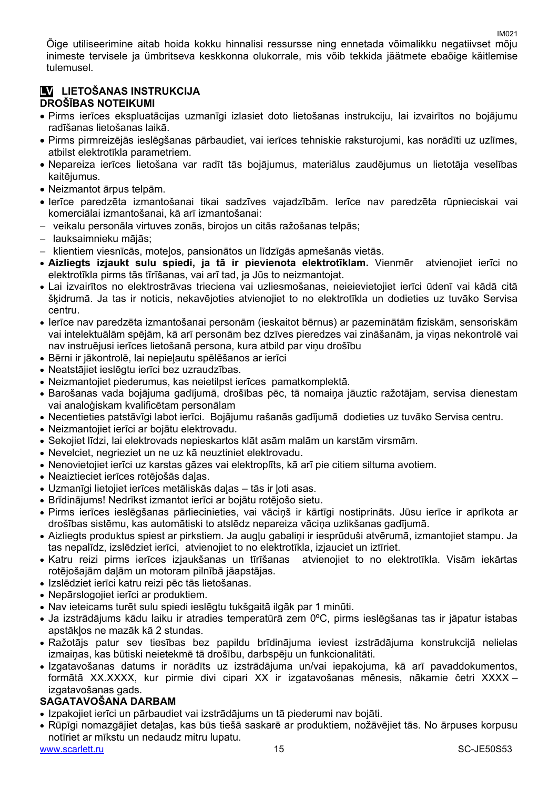Õige utiliseerimine aitab hoida kokku hinnalisi ressursse ning ennetada võimalikku negatiivset mõju inimeste tervisele ja ümbritseva keskkonna olukorrale, mis võib tekkida jäätmete ebaõige käitlemise tulemusel.

#### **LV LIETOŠANAS INSTRUKCIJA DROŠĪBAS NOTEIKUMI**

- Pirms ierīces ekspluatācijas uzmanīgi izlasiet doto lietošanas instrukciju, lai izvairītos no bojājumu radīšanas lietošanas laikā.
- Pirms pirmreizējās ieslēgšanas pārbaudiet, vai ierīces tehniskie raksturojumi, kas norādīti uz uzlīmes, atbilst elektrotīkla parametriem.
- Nepareiza ierīces lietošana var radīt tās bojājumus, materiālus zaudējumus un lietotāja veselības kaitējumus.
- Neizmantot ārpus telpām.
- Ierīce paredzēta izmantošanai tikai sadzīves vajadzībām. Ierīce nav paredzēta rūpnieciskai vai komerciālai izmantošanai, kā arī izmantošanai:
- veikalu personāla virtuves zonās, birojos un citās ražošanas telpās;
- lauksaimnieku mājās;
- klientiem viesnīcās, moteļos, pansionātos un līdzīgās apmešanās vietās.
- **Aizliegts izjaukt sulu spiedi, ja tā ir pievienota elektrotīklam.** Vienmēr atvienojiet ierīci no elektrotīkla pirms tās tīrīšanas, vai arī tad, ja Jūs to neizmantojat.
- Lai izvairītos no elektrostrāvas trieciena vai uzliesmošanas, neieievietojiet ierīci ūdenī vai kādā citā šķidrumā. Ja tas ir noticis, nekavējoties atvienojiet to no elektrotīkla un dodieties uz tuvāko Servisa centru.
- Ierīce nav paredzēta izmantošanai personām (ieskaitot bērnus) ar pazeminātām fiziskām, sensoriskām vai intelektuālām spējām, kā arī personām bez dzīves pieredzes vai zināšanām, ja viņas nekontrolē vai nav instruējusi ierīces lietošanā persona, kura atbild par viņu drošību
- Bērni ir jākontrolē, lai nepieļautu spēlēšanos ar ierīci
- Neatstājiet ieslēgtu ierīci bez uzraudzības.
- Neizmantojiet piederumus, kas neietilpst ierīces pamatkomplektā.
- Barošanas vada bojājuma gadījumā, drošības pēc, tā nomaiņa jāuztic ražotājam, servisa dienestam vai analoģiskam kvalificētam personālam
- Necentieties patstāvīgi labot ierīci. Bojājumu rašanās gadījumā dodieties uz tuvāko Servisa centru.
- Neizmantojiet ierīci ar bojātu elektrovadu.
- Sekojiet līdzi, lai elektrovads nepieskartos klāt asām malām un karstām virsmām.
- Nevelciet, negrieziet un ne uz kā neuztiniet elektrovadu.
- Nenovietojiet ierīci uz karstas gāzes vai elektroplīts, kā arī pie citiem siltuma avotiem.
- Neaiztieciet ierīces rotējošās daļas.
- Uzmanīgi lietojiet ierīces metāliskās daļas tās ir ļoti asas.
- Brīdinājums! Nedrīkst izmantot ierīci ar bojātu rotējošo sietu.
- Pirms ierīces ieslēgšanas pārliecinieties, vai vāciņš ir kārtīgi nostiprināts. Jūsu ierīce ir aprīkota ar drošības sistēmu, kas automātiski to atslēdz nepareiza vāciņa uzlikšanas gadījumā.
- Aizliegts produktus spiest ar pirkstiem. Ja augļu gabaliņi ir iesprūduši atvērumā, izmantojiet stampu. Ja tas nepalīdz, izslēdziet ierīci, atvienojiet to no elektrotīkla, izjauciet un iztīriet.
- Katru reizi pirms ierīces izjaukšanas un tīrīšanas atvienojiet to no elektrotīkla. Visām iekārtas rotējošajām daļām un motoram pilnībā jāapstājas.
- Izslēdziet ierīci katru reizi pēc tās lietošanas.
- Nepārslogojiet ierīci ar produktiem.
- Nav ieteicams turēt sulu spiedi ieslēgtu tukšgaitā ilgāk par 1 minūti.
- Ja izstrādājums kādu laiku ir atradies temperatūrā zem 0ºC, pirms ieslēgšanas tas ir jāpatur istabas apstākļos ne mazāk kā 2 stundas.
- Ražotājs patur sev tiesības bez papildu brīdinājuma ieviest izstrādājuma konstrukcijā nelielas izmaiņas, kas būtiski neietekmē tā drošību, darbspēju un funkcionalitāti.
- Izgatavošanas datums ir norādīts uz izstrādājuma un/vai iepakojuma, kā arī pavaddokumentos, formātā XX.XXXX, kur pirmie divi cipari XX ir izgatavošanas mēnesis, nākamie četri XXXX – izgatavošanas gads.

#### **SAGATAVOŠANA DARBAM**

- Izpakojiet ierīci un pārbaudiet vai izstrādājums un tā piederumi nav bojāti.
- Rūpīgi nomazgājiet detaļas, kas būs tiešā saskarē ar produktiem, nožāvējiet tās. No ārpuses korpusu notīriet ar mīkstu un nedaudz mitru lupatu.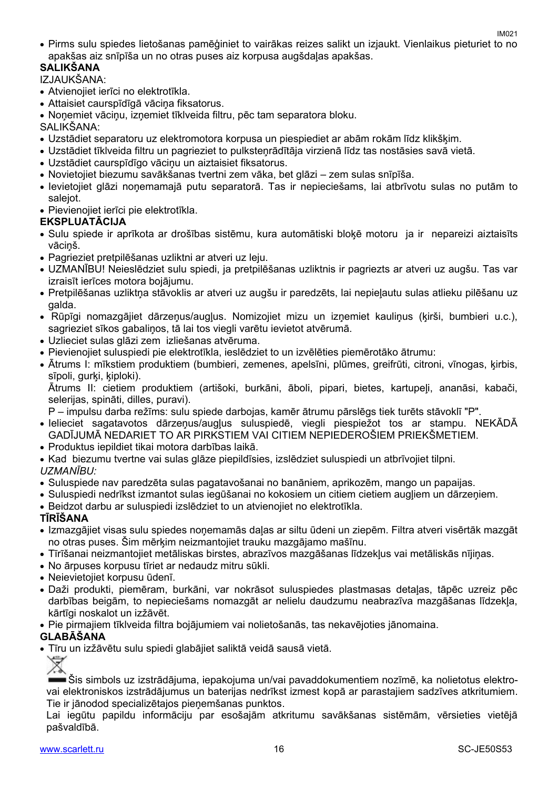Pirms sulu spiedes lietošanas pamēģiniet to vairākas reizes salikt un izjaukt. Vienlaikus pieturiet to no apakšas aiz snīpīša un no otras puses aiz korpusa augšdaļas apakšas.

#### **SALIKŠANA**  IZJAUKŠANA:

Atvienojiet ierīci no elektrotīkla.

- Attaisiet caurspīdīgā vāciņa fiksatorus.
- Noņemiet vāciņu, izņemiet tīklveida filtru, pēc tam separatora bloku.

SALIKŠANA:

- Uzstādiet separatoru uz elektromotora korpusa un piespiediet ar abām rokām līdz klikšķim.
- Uzstādiet tīklveida filtru un pagrieziet to pulksteņrādītāja virzienā līdz tas nostāsies savā vietā.
- Uzstādiet caurspīdīgo vāciņu un aiztaisiet fiksatorus.
- Novietojiet biezumu savākšanas tvertni zem vāka, bet glāzi zem sulas snīpīša.
- Ievietojiet glāzi noņemamajā putu separatorā. Tas ir nepieciešams, lai atbrīvotu sulas no putām to salejot.
- Pievienojiet ierīci pie elektrotīkla.

#### **EKSPLUATĀCIJA**

- Sulu spiede ir aprīkota ar drošības sistēmu, kura automātiski bloķē motoru ja ir nepareizi aiztaisīts vāciņš.
- Pagrieziet pretpilēšanas uzliktni ar atveri uz leju.
- UZMANĪBU! Neieslēdziet sulu spiedi, ja pretpilēšanas uzliktnis ir pagriezts ar atveri uz augšu. Tas var izraisīt ierīces motora bojājumu.
- Pretpilēšanas uzliktņa stāvoklis ar atveri uz augšu ir paredzēts, lai nepieļautu sulas atlieku pilēšanu uz galda.
- Rūpīgi nomazgājiet dārzeņus/augļus. Nomizojiet mizu un izņemiet kauliņus (ķirši, bumbieri u.c.), sagrieziet sīkos gabaliņos, tā lai tos viegli varētu ievietot atvērumā.
- Uzlieciet sulas glāzi zem izliešanas atvēruma.
- Pievienojiet suluspiedi pie elektrotīkla, ieslēdziet to un izvēlēties piemērotāko ātrumu:
- Ātrums I: mīkstiem produktiem (bumbieri, zemenes, apelsīni, plūmes, greifrūti, citroni, vīnogas, ķirbis, sīpoli, gurki, kiploki).

Ātrums II: cietiem produktiem (artišoki, burkāni, āboli, pipari, bietes, kartupeļi, ananāsi, kabači, selerijas, spināti, dilles, puravi).

P – impulsu darba režīms: sulu spiede darbojas, kamēr ātrumu pārslēgs tiek turēts stāvoklī "P".

- Ielieciet sagatavotos dārzeņus/augļus suluspiedē, viegli piespiežot tos ar stampu. NEKĀDĀ GADĪJUMĀ NEDARIET TO AR PIRKSTIEM VAI CITIEM NEPIEDEROŠIEM PRIEKŠMETIEM.
- Produktus iepildiet tikai motora darbības laikā.
- Kad biezumu tvertne vai sulas glāze piepildīsies, izslēdziet suluspiedi un atbrīvojiet tilpni.

#### *UZMANĪBU:*

- Suluspiede nav paredzēta sulas pagatavošanai no banāniem, aprikozēm, mango un papaijas.
- Suluspiedi nedrīkst izmantot sulas iegūšanai no kokosiem un citiem cietiem augļiem un dārzeņiem.
- Beidzot darbu ar suluspiedi izslēdziet to un atvienojiet no elektrotīkla.

#### **TĪRĪŠANA**

- Izmazgājiet visas sulu spiedes noņemamās daļas ar siltu ūdeni un ziepēm. Filtra atveri visērtāk mazgāt no otras puses. Šim mērķim neizmantojiet trauku mazgājamo mašīnu.
- Tīrīšanai neizmantojiet metāliskas birstes, abrazīvos mazgāšanas līdzekļus vai metāliskās nījiņas.
- No ārpuses korpusu tīriet ar nedaudz mitru sūkli.
- Neievietojiet korpusu ūdenī.
- Daži produkti, piemēram, burkāni, var nokrāsot suluspiedes plastmasas detaļas, tāpēc uzreiz pēc darbības beigām, to nepieciešams nomazgāt ar nelielu daudzumu neabrazīva mazgāšanas līdzekļa, kārtīgi noskalot un izžāvēt.
- Pie pirmajiem tīklveida filtra bojājumiem vai nolietošanās, tas nekavējoties jānomaina.

#### **GLABĀŠANA**

Tīru un izžāvētu sulu spiedi glabājiet saliktā veidā sausā vietā.

Šis simbols uz izstrādājuma, iepakojuma un/vai pavaddokumentiem nozīmē, ka nolietotus elektrovai elektroniskos izstrādājumus un baterijas nedrīkst izmest kopā ar parastajiem sadzīves atkritumiem. Tie ir jānodod specializētajos pieņemšanas punktos.

Lai iegūtu papildu informāciju par esošajām atkritumu savākšanas sistēmām, vērsieties vietējā pašvaldībā.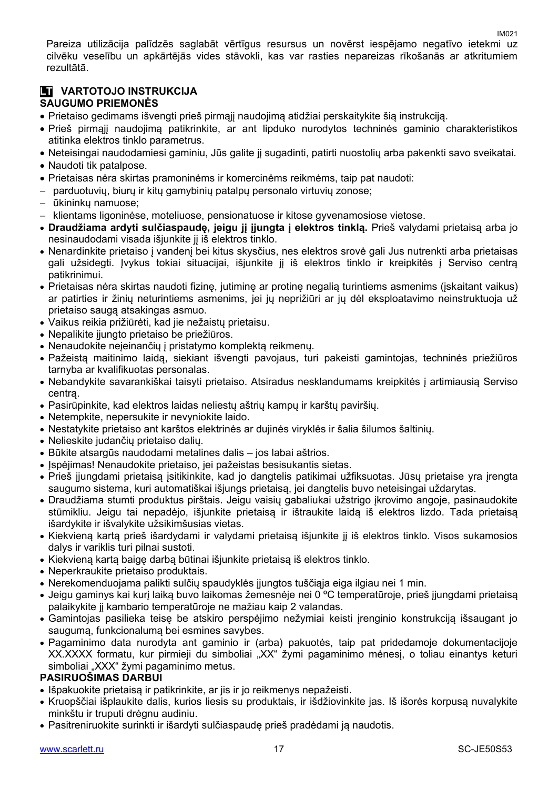Pareiza utilizācija palīdzēs saglabāt vērtīgus resursus un novērst iespējamo negatīvo ietekmi uz cilvēku veselību un apkārtējās vides stāvokli, kas var rasties nepareizas rīkošanās ar atkritumiem rezultātā.

#### **LT VARTOTOJO INSTRUKCIJA SAUGUMO PRIEMONĖS**

- Prietaiso gedimams išvengti prieš pirmąjį naudojimą atidžiai perskaitykite šią instrukciją.
- Prieš pirmąjį naudojimą patikrinkite, ar ant lipduko nurodytos techninės gaminio charakteristikos atitinka elektros tinklo parametrus.
- Neteisingai naudodamiesi gaminiu, Jūs galite jį sugadinti, patirti nuostolių arba pakenkti savo sveikatai.
- Naudoti tik patalpose.
- Prietaisas nėra skirtas pramoninėms ir komercinėms reikmėms, taip pat naudoti:
- parduotuvių, biurų ir kitų gamybinių patalpų personalo virtuvių zonose;
- ūkininkų namuose;
- klientams ligoninėse, moteliuose, pensionatuose ir kitose gyvenamosiose vietose.
- **Draudžiama ardyti sulčiaspaudę, jeigu jį įjungta į elektros tinklą.** Prieš valydami prietaisą arba jo nesinaudodami visada išjunkite jį iš elektros tinklo.
- Nenardinkite prietaiso į vandenį bei kitus skysčius, nes elektros srovė gali Jus nutrenkti arba prietaisas gali užsidegti. Įvykus tokiai situacijai, išiunkite ji iš elektros tinklo ir kreipkitės į Serviso centra patikrinimui.
- Prietaisas nėra skirtas naudoti fizinę, jutiminę ar protinę negalią turintiems asmenims (įskaitant vaikus) ar patirties ir žinių neturintiems asmenims, jei jų neprižiūri ar jų dėl eksploatavimo neinstruktuoja už prietaiso saugą atsakingas asmuo.
- Vaikus reikia prižiūrėti, kad jie nežaistų prietaisu.
- Nepalikite jiungto prietaiso be priežiūros.
- Nenaudokite neįeinančių į pristatymo komplektą reikmenų.
- Pažeistą maitinimo laidą, siekiant išvengti pavojaus, turi pakeisti gamintojas, techninės priežiūros tarnyba ar kvalifikuotas personalas.
- Nebandykite savarankiškai taisyti prietaiso. Atsiradus nesklandumams kreipkitės į artimiausią Serviso centrą.
- Pasirūpinkite, kad elektros laidas neliestų aštrių kampų ir karštų paviršių.
- Netempkite, nepersukite ir nevyniokite laido.
- Nestatykite prietaiso ant karštos elektrinės ar dujinės viryklės ir šalia šilumos šaltinių.
- Nelieskite judančių prietaiso dalių.
- Būkite atsargūs naudodami metalines dalis jos labai aštrios.
- Įspėjimas! Nenaudokite prietaiso, jei pažeistas besisukantis sietas.
- Prieš įjungdami prietaisą įsitikinkite, kad jo dangtelis patikimai užfiksuotas. Jūsų prietaise yra įrengta saugumo sistema, kuri automatiškai išjungs prietaisą, jei dangtelis buvo neteisingai uždarytas.
- Draudžiama stumti produktus pirštais. Jeigu vaisių gabaliukai užstrigo įkrovimo angoje, pasinaudokite stūmikliu. Jeigu tai nepadėjo, išjunkite prietaisą ir ištraukite laidą iš elektros lizdo. Tada prietaisą išardykite ir išvalykite užsikimšusias vietas.
- Kiekvieną kartą prieš išardydami ir valydami prietaisą išjunkite jį iš elektros tinklo. Visos sukamosios dalys ir variklis turi pilnai sustoti.
- Kiekvieną kartą baigę darbą būtinai išjunkite prietaisą iš elektros tinklo.
- Neperkraukite prietaiso produktais.
- Nerekomenduojama palikti sulčių spaudyklės įjungtos tuščiąja eiga ilgiau nei 1 min.
- Jeigu gaminys kai kurį laiką buvo laikomas žemesnėje nei 0 ºC temperatūroje, prieš įjungdami prietaisą palaikykite jį kambario temperatūroje ne mažiau kaip 2 valandas.
- Gamintojas pasilieka teisę be atskiro perspėjimo nežymiai keisti įrenginio konstrukciją išsaugant jo saugumą, funkcionalumą bei esmines savybes.
- Pagaminimo data nurodyta ant gaminio ir (arba) pakuotės, taip pat pridedamoje dokumentacijoje XX.XXXX formatu, kur pirmieji du simboliai "XX" žymi pagaminimo mėnesį, o toliau einantys keturi simboliai "XXX" žymi pagaminimo metus.

#### **PASIRUOŠIMAS DARBUI**

- Išpakuokite prietaisą ir patikrinkite, ar jis ir jo reikmenys nepažeisti.
- Kruopščiai išplaukite dalis, kurios liesis su produktais, ir išdžiovinkite jas. Iš išorės korpusą nuvalykite minkštu ir truputi drėgnu audiniu.
- Pasitreniruokite surinkti ir išardyti sulčiaspaudę prieš pradėdami ją naudotis.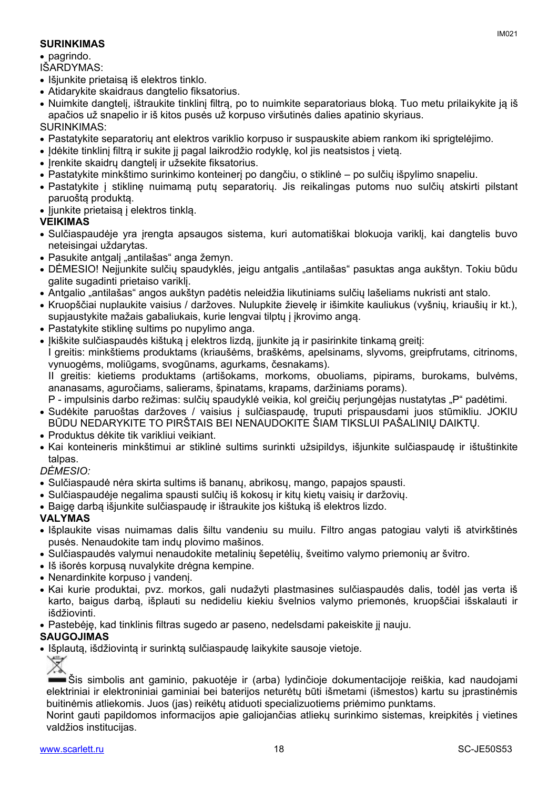#### **SURINKIMAS**

• pagrindo.

IŠARDYMAS:

- Išjunkite prietaisa iš elektros tinklo.
- Atidarykite skaidraus dangtelio fiksatorius.
- Nuimkite dangtelį, ištraukite tinklinį filtrą, po to nuimkite separatoriaus bloką. Tuo metu prilaikykite ją iš apačios už snapelio ir iš kitos pusės už korpuso viršutinės dalies apatinio skyriaus.

#### SURINKIMAS:

- Pastatykite separatorių ant elektros variklio korpuso ir suspauskite abiem rankom iki sprigtelėjimo.
- Idėkite tinklinį filtrą ir sukite jį pagal laikrodžio rodyklę, kol jis neatsistos į vietą.
- Irenkite skaidru dangtelį ir užsekite fiksatorius.
- Pastatykite minkštimo surinkimo konteinerį po dangčiu, o stiklinė po sulčių išpylimo snapeliu.
- Pastatykite į stiklinę nuimamą putų separatorių. Jis reikalingas putoms nuo sulčių atskirti pilstant paruoštą produktą.
- liunkite prietaisą į elektros tinklą.

#### **VEIKIMAS**

- Sulčiaspaudėje yra įrengta apsaugos sistema, kuri automatiškai blokuoja variklį, kai dangtelis buvo neteisingai uždarytas.
- Pasukite antgalį "antilašas" anga žemyn.
- · DĖMESIO! Neįjunkite sulčių spaudyklės, jeigu antgalis "antilašas" pasuktas anga aukštyn. Tokiu būdu galite sugadinti prietaiso variklį.
- Antgalio "antilašas" angos aukštyn padėtis neleidžia likutiniams sulčių lašeliams nukristi ant stalo.
- Kruopščiai nuplaukite vaisius / daržoves. Nulupkite žievelę ir išimkite kauliukus (vyšnių, kriaušių ir kt.), supjaustykite mažais gabaliukais, kurie lengvai tilptų į įkrovimo angą.
- Pastatykite stiklinę sultims po nupylimo anga.
- Įkiškite sulčiaspaudės kištuką į elektros lizdą, įjunkite ją ir pasirinkite tinkamą greitį:

I greitis: minkštiems produktams (kriaušėms, braškėms, apelsinams, slyvoms, greipfrutams, citrinoms, vynuogėms, moliūgams, svogūnams, agurkams, česnakams).

II greitis: kietiems produktams (artišokams, morkoms, obuoliams, pipirams, burokams, bulvėms, ananasams, aguročiams, salierams, špinatams, krapams, daržiniams porams).

P - impulsinis darbo režimas: sulčių spaudyklė veikia, kol greičių periungėjas nustatytas "P" padėtimi.

- Sudėkite paruoštas daržoves / vaisius į sulčiaspaudę, truputi prispausdami juos stūmikliu. JOKIU BŪDU NEDARYKITE TO PIRŠTAIS BEI NENAUDOKITE ŠIAM TIKSLUI PAŠALINIŲ DAIKTŲ.
- Produktus dėkite tik varikliui veikiant.
- Kai konteineris minkštimui ar stiklinė sultims surinkti užsipildys, išjunkite sulčiaspaudę ir ištuštinkite talpas.

#### *DĖMESIO:*

- Sulčiaspaudė nėra skirta sultims iš bananų, abrikosų, mango, papajos spausti.
- Sulčiaspaudėje negalima spausti sulčių iš kokosų ir kitų kietų vaisių ir daržovių.
- Baigę darbą išjunkite sulčiaspaudę ir ištraukite jos kištuką iš elektros lizdo.

#### **VALYMAS**

- Išplaukite visas nuimamas dalis šiltu vandeniu su muilu. Filtro angas patogiau valyti iš atvirkštinės pusės. Nenaudokite tam indų plovimo mašinos.
- Sulčiaspaudės valymui nenaudokite metalinių šepetėlių, šveitimo valymo priemonių ar švitro.
- Iš išorės korpusą nuvalykite drėgna kempine.
- Nenardinkite korpuso į vandenį.
- Kai kurie produktai, pvz. morkos, gali nudažyti plastmasines sulčiaspaudės dalis, todėl jas verta iš karto, baigus darbą, išplauti su nedideliu kiekiu švelnios valymo priemonės, kruopščiai išskalauti ir išdžiovinti.
- Pastebėję, kad tinklinis filtras sugedo ar paseno, nedelsdami pakeiskite jį nauju.

#### **SAUGOJIMAS**

Išplautą, išdžiovintą ir surinktą sulčiaspaudę laikykite sausoje vietoje.

₩

Šis simbolis ant gaminio, pakuotėje ir (arba) lydinčioje dokumentacijoje reiškia, kad naudojami elektriniai ir elektroniniai gaminiai bei baterijos neturėtų būti išmetami (išmestos) kartu su įprastinėmis buitinėmis atliekomis. Juos (jas) reikėtų atiduoti specializuotiems priėmimo punktams.

Norint gauti papildomos informacijos apie galiojančias atliekų surinkimo sistemas, kreipkitės į vietines valdžios institucijas.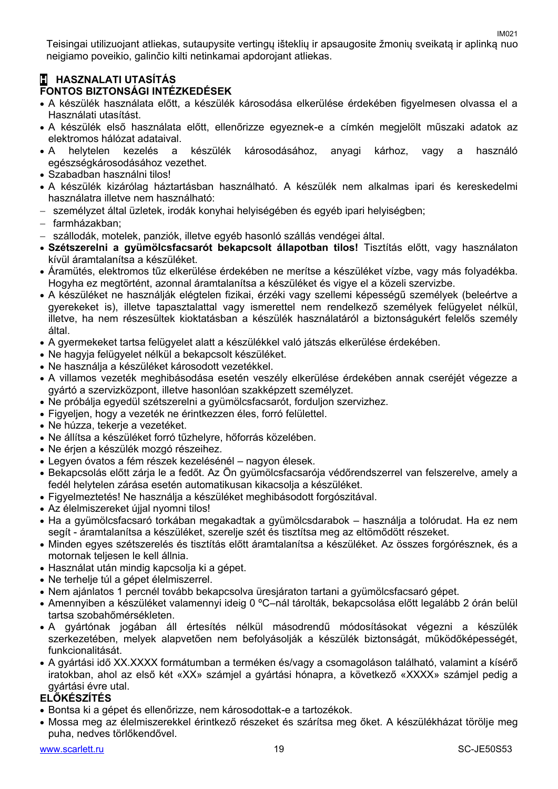IM021 Teisingai utilizuojant atliekas, sutaupysite vertingų išteklių ir apsaugosite žmonių sveikatą ir aplinką nuo neigiamo poveikio, galinčio kilti netinkamai apdorojant atliekas.

#### **H HASZNALATI UTASÍTÁS FONTOS BIZTONSÁGI INTÉZKEDÉSEK**

- A készülék használata előtt, a készülék károsodása elkerülése érdekében figyelmesen olvassa el a Használati utasítást.
- A készülék első használata előtt, ellenőrizze egyeznek-e a címkén megjelölt műszaki adatok az elektromos hálózat adataival.
- A helytelen kezelés a készülék károsodásához, anyagi kárhoz, vagy a használó egészségkárosodásához vezethet.
- Szabadban használni tilos!
- A készülék kizárólag háztartásban használható. A készülék nem alkalmas ipari és kereskedelmi használatra illetve nem használható:
- személyzet által üzletek, irodák konyhai helyiségében és egyéb ipari helyiségben;
- farmházakban;
- szállodák, motelek, panziók, illetve egyéb hasonló szállás vendégei által.
- **Szétszerelni a gyümölcsfacsarót bekapcsolt állapotban tilos!** Tisztítás előtt, vagy használaton kívül áramtalanítsa a készüléket.
- Áramütés, elektromos tűz elkerülése érdekében ne merítse a készüléket vízbe, vagy más folyadékba. Hogyha ez megtörtént, azonnal áramtalanítsa a készüléket és vigye el a közeli szervizbe.
- A készüléket ne használják elégtelen fizikai, érzéki vagy szellemi képességű személyek (beleértve a gyerekeket is), illetve tapasztalattal vagy ismerettel nem rendelkező személyek felügyelet nélkül, illetve, ha nem részesültek kioktatásban a készülék használatáról a biztonságukért felelős személy által.
- A gyermekeket tartsa felügyelet alatt a készülékkel való játszás elkerülése érdekében.
- Ne hagyja felügyelet nélkül a bekapcsolt készüléket.
- Ne használja a készüléket károsodott vezetékkel.
- A villamos vezeték meghibásodása esetén veszély elkerülése érdekében annak cseréjét végezze a gyártó a szervizközpont, illetve hasonlóan szakképzett személyzet.
- Ne próbálja egyedül szétszerelni a gyümölcsfacsarót, forduljon szervizhez.
- Figyeljen, hogy a vezeték ne érintkezzen éles, forró felülettel.
- Ne húzza, tekerje a vezetéket.
- Ne állítsa a készüléket forró tűzhelyre, hőforrás közelében.
- Ne érjen a készülék mozgó részeihez.
- Legyen óvatos a fém részek kezelésénél nagyon élesek.
- Bekapcsolás előtt zárja le a fedőt. Az Ön gyümölcsfacsarója védőrendszerrel van felszerelve, amely a fedél helytelen zárása esetén automatikusan kikacsolja a készüléket.
- Figyelmeztetés! Ne használja a készüléket meghibásodott forgószitával.
- Az élelmiszereket újjal nyomni tilos!
- Ha a gyümölcsfacsaró torkában megakadtak a gyümölcsdarabok használja a tolórudat. Ha ez nem segít - áramtalanítsa a készüléket, szerelje szét és tisztítsa meg az eltömődött részeket.
- Minden egyes szétszerelés és tisztítás előtt áramtalanítsa a készüléket. Az összes forgórésznek, és a motornak teljesen le kell állnia.
- Használat után mindig kapcsolja ki a gépet.
- Ne terhelje túl a gépet élelmiszerrel.
- Nem ajánlatos 1 percnél tovább bekapcsolva üresjáraton tartani a gyümölcsfacsaró gépet.
- Amennyiben a készüléket valamennyi ideig 0 ºC–nál tárolták, bekapcsolása előtt legalább 2 órán belül tartsa szobahőmérsékleten.
- A gyártónak jogában áll értesítés nélkül másodrendű módosításokat végezni a készülék szerkezetében, melyek alapvetően nem befolyásolják a készülék biztonságát, működőképességét, funkcionalitását.
- A gyártási idő XX.XXXX formátumban a terméken és/vagy a csomagoláson található, valamint a kísérő iratokban, ahol az első két «XX» számjel a gyártási hónapra, a következő «XXXX» számjel pedig a gyártási évre utal.

#### **ELŐKÉSZÍTÉS**

- Bontsa ki a gépet és ellenőrizze, nem károsodottak-e a tartozékok.
- Mossa meg az élelmiszerekkel érintkező részeket és szárítsa meg őket. A készülékházat törölje meg puha, nedves törlőkendővel.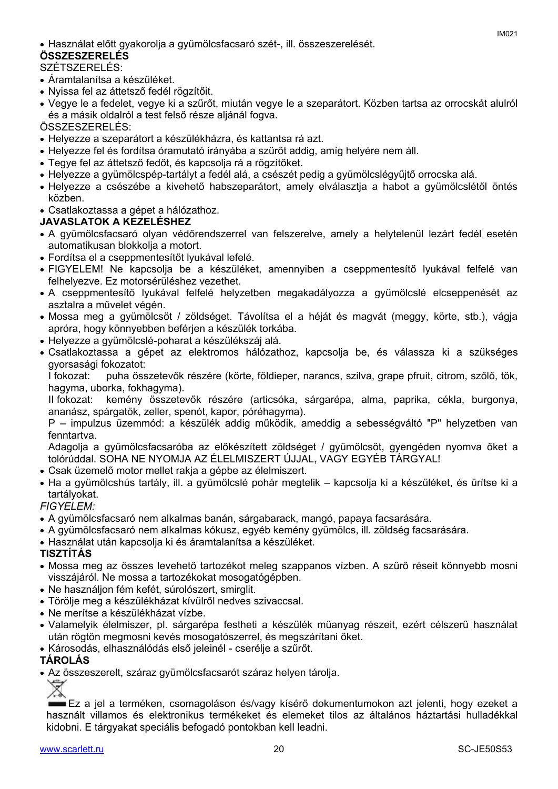#### **ÖSSZESZERELÉS**

SZÉTSZERELÉS:

- Áramtalanítsa a készüléket.
- Nyissa fel az áttetsző fedél rögzítőit.
- Vegye le a fedelet, vegye ki a szűrőt, miután vegye le a szeparátort. Közben tartsa az orrocskát alulról és a másik oldalról a test felső része aljánál fogva.

ÖSSZESZERELÉS:

- Helyezze a szeparátort a készülékházra, és kattantsa rá azt.
- Helyezze fel és fordítsa óramutató irányába a szűrőt addig, amíg helyére nem áll.
- Tegye fel az áttetsző fedőt, és kapcsolja rá a rögzítőket.
- Helyezze a gyümölcspép-tartályt a fedél alá, a csészét pedig a gyümölcslégyűjtő orrocska alá.
- Helyezze a csészébe a kivehető habszeparátort, amely elválasztja a habot a gyümölcslétől öntés közben.
- Csatlakoztassa a gépet a hálózathoz.

#### **JAVASLATOK A KEZELÉSHEZ**

- A gyümölcsfacsaró olyan védőrendszerrel van felszerelve, amely a helytelenül lezárt fedél esetén automatikusan blokkolja a motort.
- Fordítsa el a cseppmentesítőt lyukával lefelé.
- FIGYELEM! Ne kapcsolja be a készüléket, amennyiben a cseppmentesítő lyukával felfelé van felhelyezve. Ez motorsérüléshez vezethet.
- A cseppmentesítő lyukával felfelé helyzetben megakadályozza a gyümölcslé elcseppenését az asztalra a művelet végén.
- Mossa meg a gyümölcsöt / zöldséget. Távolítsa el a héját és magvát (meggy, körte, stb.), vágja apróra, hogy könnyebben beférjen a készülék torkába.
- Helyezze a gyümölcslé-poharat a készülékszáj alá.
- Csatlakoztassa a gépet az elektromos hálózathoz, kapcsolja be, és válassza ki a szükséges gyorsasági fokozatot:

I fokozat: puha összetevők részére (körte, földieper, narancs, szilva, grape pfruit, citrom, szőlő, tök, hagyma, uborka, fokhagyma).

II fokozat: kemény összetevők részére (articsóka, sárgarépa, alma, paprika, cékla, burgonya, ananász, spárgatök, zeller, spenót, kapor, póréhagyma).

P – impulzus üzemmód: a készülék addig működik, ameddig a sebességváltó "P" helyzetben van fenntartva.

Adagolja a gyümölcsfacsaróba az előkészített zöldséget / gyümölcsöt, gyengéden nyomva őket a tolórúddal. SOHA NE NYOMJA AZ ÉLELMISZERT ÚJJAL, VAGY EGYÉB TÁRGYAL!

- Csak üzemelő motor mellet rakja a gépbe az élelmiszert.
- Ha a gyümölcshús tartály, ill. a gyümölcslé pohár megtelik kapcsolja ki a készüléket, és ürítse ki a tartályokat.

#### *FIGYELEM:*

- A gyümölcsfacsaró nem alkalmas banán, sárgabarack, mangó, papaya facsarására.
- A gyümölcsfacsaró nem alkalmas kókusz, egyéb kemény gyümölcs, ill. zöldség facsarására.
- Használat után kapcsolja ki és áramtalanítsa a készüléket.

#### **TISZTÍTÁS**

- Mossa meg az összes levehető tartozékot meleg szappanos vízben. A szűrő réseit könnyebb mosni visszájáról. Ne mossa a tartozékokat mosogatógépben.
- Ne használjon fém kefét, súrolószert, smirglit.
- Törölje meg a készülékházat kívülről nedves szivaccsal.
- Ne merítse a készülékházat vízbe.
- Valamelyik élelmiszer, pl. sárgarépa festheti a készülék műanyag részeit, ezért célszerű használat után rögtön megmosni kevés mosogatószerrel, és megszárítani őket.
- Károsodás, elhasználódás első jeleinél cserélje a szűrőt.

#### **TÁROLÁS**

Az összeszerelt, száraz gyümölcsfacsarót száraz helyen tárolja.

Ez a jel a terméken, csomagoláson és/vagy kísérő dokumentumokon azt jelenti, hogy ezeket a használt villamos és elektronikus termékeket és elemeket tilos az általános háztartási hulladékkal kidobni. E tárgyakat speciális befogadó pontokban kell leadni.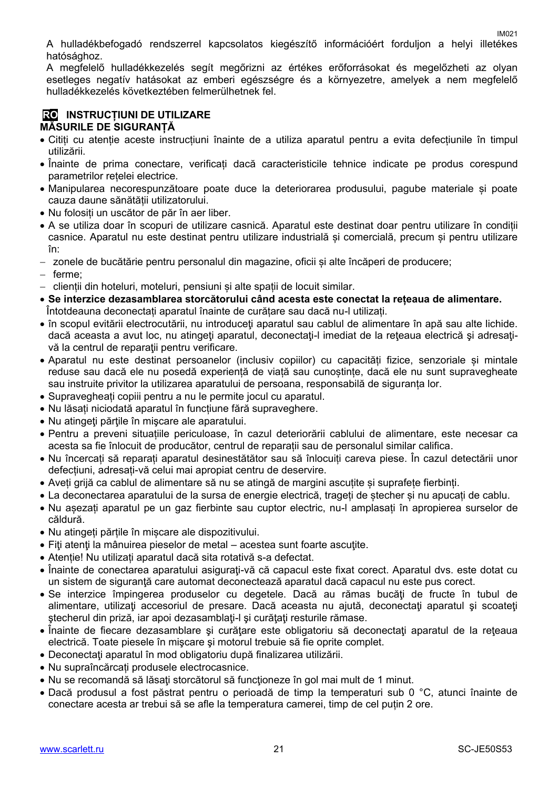A hulladékbefogadó rendszerrel kapcsolatos kiegészítő információért forduljon a helyi illetékes hatósághoz.

A megfelelő hulladékkezelés segít megőrizni az értékes erőforrásokat és megelőzheti az olyan esetleges negatív hatásokat az emberi egészségre és a környezetre, amelyek a nem megfelelő hulladékkezelés következtében felmerülhetnek fel.

#### **RO INSTRUCȚIUNI DE UTILIZARE MĂSURILE DE SIGURANȚĂ**

- Citiți cu atenție aceste instrucțiuni înainte de a utiliza aparatul pentru a evita defecțiunile în timpul utilizării.
- Înainte de prima conectare, verificați dacă caracteristicile tehnice indicate pe produs corespund parametrilor rețelei electrice.
- Manipularea necorespunzătoare poate duce la deteriorarea produsului, pagube materiale și poate cauza daune sănătății utilizatorului.
- Nu folosiți un uscător de păr în aer liber.
- A se utiliza doar în scopuri de utilizare casnică. Aparatul este destinat doar pentru utilizare în condiții casnice. Aparatul nu este destinat pentru utilizare industrială și comercială, precum și pentru utilizare în:
- zonele de bucătărie pentru personalul din magazine, oficii și alte încăperi de producere;
- ferme:
- clienții din hoteluri, moteluri, pensiuni și alte spații de locuit similar.
- **Se interzice dezasamblarea storcătorului când acesta este conectat la rețeaua de alimentare.** Întotdeauna deconectați aparatul înainte de curățare sau dacă nu-l utilizați.
- în scopul evitării electrocutării, nu introduceţi aparatul sau cablul de alimentare în apă sau alte lichide. dacă aceasta a avut loc, nu atingeți aparatul, deconectați-l imediat de la rețeaua electrică și adresațivă la centrul de reparații pentru verificare.
- Aparatul nu este destinat persoanelor (inclusiv copiilor) cu capacități fizice, senzoriale și mintale reduse sau dacă ele nu posedă experiență de viață sau cunoștințe, dacă ele nu sunt supravegheate sau instruite privitor la utilizarea aparatului de persoana, responsabilă de siguranța lor.
- Supravegheați copiii pentru a nu le permite jocul cu aparatul.
- Nu lăsați niciodată aparatul în funcțiune fără supraveghere.
- Nu atingeti părțile în mișcare ale aparatului.
- Pentru a preveni situațiile periculoase, în cazul deteriorării cablului de alimentare, este necesar ca acesta sa fie înlocuit de producător, centrul de reparații sau de personalul similar califica.
- Nu încercați să reparați aparatul desinestătător sau să înlocuiți careva piese. În cazul detectării unor defecțiuni, adresați-vă celui mai apropiat centru de deservire.
- Aveți grijă ca cablul de alimentare să nu se atingă de margini ascuțite și suprafețe fierbinți.
- La deconectarea aparatului de la sursa de energie electrică, trageți de ștecher și nu apucați de cablu.
- Nu așezați aparatul pe un gaz fierbinte sau cuptor electric, nu-l amplasați în apropierea surselor de căldură.
- Nu atingeți părțile în mișcare ale dispozitivului.
- Fiţi atenţi la mânuirea pieselor de metal acestea sunt foarte ascuţite.
- Atenție! Nu utilizați aparatul dacă sita rotativă s-a defectat.
- Înainte de conectarea aparatului asiguraţi-vă că capacul este fixat corect. Aparatul dvs. este dotat cu un sistem de siguranţă care automat deconectează aparatul dacă capacul nu este pus corect.
- Se interzice împingerea produselor cu degetele. Dacă au rămas bucăți de fructe în tubul de alimentare, utilizaţi accesoriul de presare. Dacă aceasta nu ajută, deconectaţi aparatul şi scoateţi ştecherul din priză, iar apoi dezasamblaţi-l şi curăţaţi resturile rămase.
- Înainte de fiecare dezasamblare și curățare este obligatoriu să deconectați aparatul de la rețeaua electrică. Toate piesele în mişcare şi motorul trebuie să fie oprite complet.
- Deconectaţi aparatul în mod obligatoriu după finalizarea utilizării.
- Nu supraîncărcați produsele electrocasnice.
- Nu se recomandă să lăsaţi storcătorul să funcţioneze în gol mai mult de 1 minut.
- Dacă produsul a fost păstrat pentru o perioadă de timp la temperaturi sub 0 °C, atunci înainte de conectare acesta ar trebui să se afle la temperatura camerei, timp de cel puțin 2 ore.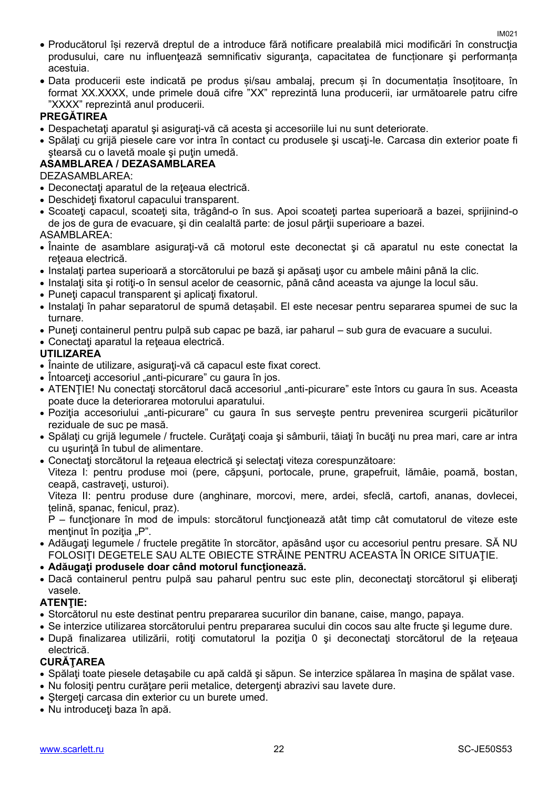- Producătorul își rezervă dreptul de a introduce fără notificare prealabilă mici modificări în construcţia produsului, care nu influențează semnificativ siguranța, capacitatea de funcționare și performanța acestuia.
- Data producerii este indicată pe produs și/sau ambalaj, precum și în documentația însoțitoare, în format XX.XXXX, unde primele două cifre "XX" reprezintă luna producerii, iar următoarele patru cifre "XXXX" reprezintă anul producerii.

#### **PREGĂTIREA**

- Despachetați aparatul și asigurați-vă că acesta și accesoriile lui nu sunt deteriorate.
- Spălați cu grijă piesele care vor intra în contact cu produsele și uscați-le. Carcasa din exterior poate fi stearsă cu o lavetă moale și puțin umedă.

#### **ASAMBLAREA / DEZASAMBLAREA**

DEZASAMBLAREA:

- Deconectaţi aparatul de la reţeaua electrică.
- Deschideţi fixatorul capacului transparent.
- Scoateti capacul, scoateti sita, trăgând-o în sus. Apoi scoateti partea superioară a bazei, sprijinind-o de jos de gura de evacuare, și din cealaltă parte: de josul părții superioare a bazei.

ASAMBLAREA:

- Înainte de asamblare asiguraţi-vă că motorul este deconectat şi că aparatul nu este conectat la reteaua electrică.
- $\bullet$  Instalati partea superioară a storcătorului pe bază și apăsați usor cu ambele mâini până la clic.
- **Instalati sita și rotiti-o în sensul acelor de ceasornic, până când aceasta va ajunge la locul său.**
- Puneti capacul transparent și aplicați fixatorul.
- Instalaţi în pahar separatorul de spumă detașabil. El este necesar pentru separarea spumei de suc la turnare.
- Puneţi containerul pentru pulpă sub capac pe bază, iar paharul sub gura de evacuare a sucului.
- Conectaţi aparatul la reţeaua electrică.

#### **UTILIZAREA**

- Înainte de utilizare, asigurați-vă că capacul este fixat corect.
- Întoarceți accesoriul "anti-picurare" cu gaura în jos.
- ATENTIE! Nu conectați storcătorul dacă accesoriul "anti-picurare" este întors cu gaura în sus. Aceasta poate duce la deteriorarea motorului aparatului.
- Poziția accesoriului "anti-picurare" cu gaura în sus servește pentru prevenirea scurgerii picăturilor reziduale de suc pe masă.
- Spălaţi cu grijă legumele / fructele. Curăţaţi coaja şi sâmburii, tăiaţi în bucăţi nu prea mari, care ar intra cu usurintă în tubul de alimentare.
- Conectati storcătorul la reteaua electrică și selectați viteza corespunzătoare:

Viteza I: pentru produse moi (pere, căpşuni, portocale, prune, grapefruit, lămâie, poamă, bostan, ceapă, castraveți, usturoi).

Viteza II: pentru produse dure (anghinare, morcovi, mere, ardei, sfeclă, cartofi, ananas, dovlecei, țelină, spanac, fenicul, praz).

P – funcţionare în mod de impuls: storcătorul funcţionează atât timp cât comutatorul de viteze este mentinut în poziția "P".

- Adăugați legumele / fructele pregătite în storcător, apăsând usor cu accesoriul pentru presare. SĂ NU FOLOSIŢI DEGETELE SAU ALTE OBIECTE STRĂINE PENTRU ACEASTA ÎN ORICE SITUAŢIE.
- **Adăugaţi produsele doar când motorul funcţionează.**
- Dacă containerul pentru pulpă sau paharul pentru suc este plin, deconectaţi storcătorul şi eliberaţi vasele.

#### **ATENŢIE:**

- Storcătorul nu este destinat pentru prepararea sucurilor din banane, caise, mango, papaya.
- Se interzice utilizarea storcătorului pentru prepararea sucului din cocos sau alte fructe şi legume dure.
- După finalizarea utilizării, rotiţi comutatorul la poziţia 0 şi deconectaţi storcătorul de la reţeaua electrică.

#### **CURĂŢAREA**

- Spălaţi toate piesele detaşabile cu apă caldă şi săpun. Se interzice spălarea în maşina de spălat vase.
- Nu folositi pentru curătare perii metalice, detergenți abrazivi sau lavete dure.
- Stergeti carcasa din exterior cu un burete umed.
- Nu introduceți baza în apă.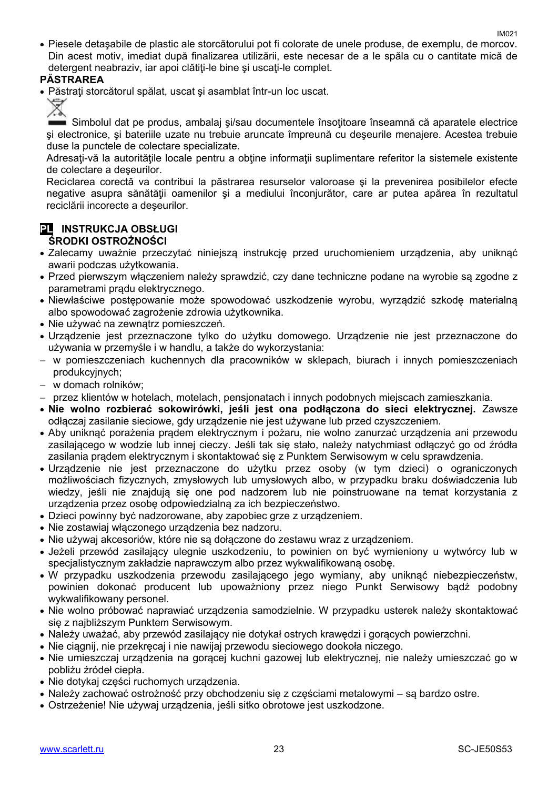Piesele detaşabile de plastic ale storcătorului pot fi colorate de unele produse, de exemplu, de morcov. Din acest motiv, imediat după finalizarea utilizării, este necesar de a le spăla cu o cantitate mică de detergent neabraziv, jar apoi clătiti-le bine și uscati-le complet.

#### **PĂSTRAREA**

• Păstrati storcătorul spălat, uscat și asamblat într-un loc uscat.

Simbolul dat pe produs, ambalaj și/sau documentele însoțitoare înseamnă că aparatele electrice şi electronice, şi bateriile uzate nu trebuie aruncate împreună cu deşeurile menajere. Acestea trebuie duse la punctele de colectare specializate.

Adresati-vă la autoritățile locale pentru a obține informații suplimentare referitor la sistemele existente de colectare a deşeurilor.

Reciclarea corectă va contribui la păstrarea resurselor valoroase şi la prevenirea posibilelor efecte negative asupra sănătăţii oamenilor şi a mediului înconjurător, care ar putea apărea în rezultatul reciclării incorecte a deşeurilor.

#### **PL INSTRUKCJA OBSŁUGI ŚRODKI OSTROŻNOŚCI**

- Zalecamy uważnie przeczytać niniejszą instrukcję przed uruchomieniem urządzenia, aby uniknąć awarii podczas użytkowania.
- Przed pierwszym włączeniem należy sprawdzić, czy dane techniczne podane na wyrobie są zgodne z parametrami prądu elektrycznego.
- Niewłaściwe postępowanie może spowodować uszkodzenie wyrobu, wyrządzić szkodę materialną albo spowodować zagrożenie zdrowia użytkownika.
- Nie używać na zewnatrz pomieszczeń.
- Urządzenie jest przeznaczone tylko do użytku domowego. Urządzenie nie jest przeznaczone do używania w przemyśle i w handlu, a także do wykorzystania:
- w pomieszczeniach kuchennych dla pracowników w sklepach, biurach i innych pomieszczeniach produkcyjnych;
- w domach rolników;
- przez klientów w hotelach, motelach, pensjonatach i innych podobnych miejscach zamieszkania.
- **Nie wolno rozbierać sokowirówki, jeśli jest ona podłączona do sieci elektrycznej.** Zawsze odłączaj zasilanie sieciowe, gdy urządzenie nie jest używane lub przed czyszczeniem.
- Aby uniknąć porażenia prądem elektrycznym i pożaru, nie wolno zanurzać urządzenia ani przewodu zasilającego w wodzie lub innej cieczy. Jeśli tak się stało, należy natychmiast odłączyć go od źródła zasilania prądem elektrycznym i skontaktować się z Punktem Serwisowym w celu sprawdzenia.
- Urządzenie nie jest przeznaczone do użytku przez osoby (w tym dzieci) o ograniczonych możliwościach fizycznych, zmysłowych lub umysłowych albo, w przypadku braku doświadczenia lub wiedzy, jeśli nie znajdują się one pod nadzorem lub nie poinstruowane na temat korzystania z urządzenia przez osobę odpowiedzialną za ich bezpieczeństwo.
- Dzieci powinny być nadzorowane, aby zapobiec grze z urządzeniem.
- Nie zostawiaj włączonego urządzenia bez nadzoru.
- Nie używaj akcesoriów, które nie są dołączone do zestawu wraz z urządzeniem.
- Jeżeli przewód zasilający ulegnie uszkodzeniu, to powinien on być wymieniony u wytwórcy lub w specjalistycznym zakładzie naprawczym albo przez wykwalifikowaną osobę.
- W przypadku uszkodzenia przewodu zasilającego jego wymiany, aby uniknąć niebezpieczeństw, powinien dokonać producent lub upoważniony przez niego Punkt Serwisowy bądź podobny wykwalifikowany personel.
- Nie wolno próbować naprawiać urządzenia samodzielnie. W przypadku usterek należy skontaktować się z najbliższym Punktem Serwisowym.
- Należy uważać, aby przewód zasilający nie dotykał ostrych krawędzi i gorących powierzchni.
- Nie ciągnij, nie przekręcaj i nie nawijaj przewodu sieciowego dookoła niczego.
- Nie umieszczaj urządzenia na gorącej kuchni gazowej lub elektrycznej, nie należy umieszczać go w pobliżu źródeł ciepła.
- Nie dotykaj części ruchomych urządzenia.
- Należy zachować ostrożność przy obchodzeniu się z częściami metalowymi są bardzo ostre.
- Ostrzeżenie! Nie używaj urządzenia, jeśli sitko obrotowe jest uszkodzone.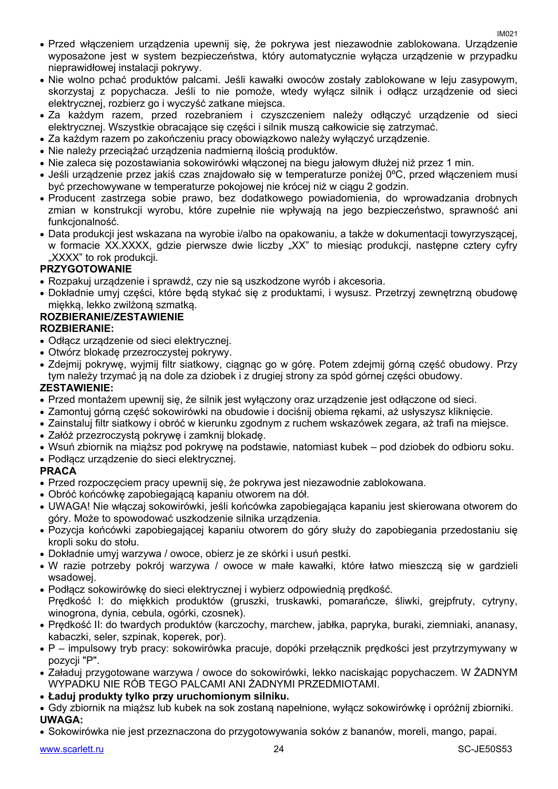- Przed włączeniem urządzenia upewnij się, że pokrywa jest niezawodnie zablokowana. Urządzenie wyposażone jest w system bezpieczeństwa, który automatycznie wyłącza urządzenie w przypadku nieprawidłowei instalacii pokrywy.
- Nie wolno pchać produktów palcami. Jeśli kawałki owoców zostały zablokowane w leju zasypowym, skorzystaj z popychacza. Jeśli to nie pomoże, wtedy wyłącz silnik i odłącz urządzenie od sieci elektrycznej, rozbierz go i wyczyść zatkane miejsca.
- Za każdym razem, przed rozebraniem i czyszczeniem należy odłączyć urządzenie od sieci elektrycznej. Wszystkie obracające się części i silnik muszą całkowicie się zatrzymać.
- Za każdym razem po zakończeniu pracy obowiązkowo należy wyłączyć urządzenie.
- Nie należy przeciążać urządzenia nadmierną ilością produktów.
- Nie zaleca się pozostawiania sokowirówki włączonej na biegu jałowym dłużej niż przez 1 min.
- Jeśli urządzenie przez jakiś czas znajdowało się w temperaturze poniżej 0ºC, przed włączeniem musi być przechowywane w temperaturze pokojowej nie krócej niż w ciągu 2 godzin.
- Producent zastrzega sobie prawo, bez dodatkowego powiadomienia, do wprowadzania drobnych zmian w konstrukcji wyrobu, które zupełnie nie wpływają na jego bezpieczeństwo, sprawność ani funkcionalność.
- Data produkcji jest wskazana na wyrobie i/albo na opakowaniu, a także w dokumentacji towyrzyszącej, w formacie XX.XXXX, gdzie pierwsze dwie liczby "XX" to miesiąc produkcji, następne cztery cyfry "XXXX" to rok produkcii.

#### **PRZYGOTOWANIE**

- Rozpakuj urządzenie i sprawdź, czy nie są uszkodzone wyrób i akcesoria.
- Dokładnie umyj części, które będą stykać się z produktami, i wysusz. Przetrzyj zewnętrzną obudowę miękką, lekko zwilżoną szmatką.

#### **ROZBIERANIE/ZESTAWIENIE**

#### **ROZBIERANIE:**

- Odłącz urządzenie od sieci elektrycznej.
- Otwórz blokadę przezroczystej pokrywy.
- Zdejmij pokrywę, wyjmij filtr siatkowy, ciągnąc go w górę. Potem zdejmij górną część obudowy. Przy tym należy trzymać ją na dole za dziobek i z drugiej strony za spód górnej części obudowy.

#### **ZESTAWIENIE:**

- Przed montażem upewnij się, że silnik jest wyłączony oraz urządzenie jest odłączone od sieci.
- Zamontuj górną część sokowirówki na obudowie i dociśnij obiema rękami, aż usłyszysz kliknięcie.
- Zainstaluj filtr siatkowy i obróć w kierunku zgodnym z ruchem wskazówek zegara, aż trafi na miejsce.
- Załóż przezroczystą pokrywę i zamknij blokadę.
- Wsuń zbiornik na miąższ pod pokrywę na podstawie, natomiast kubek pod dziobek do odbioru soku.
- Podłącz urządzenie do sieci elektrycznej.

#### **PRACA**

- Przed rozpoczęciem pracy upewnij się, że pokrywa jest niezawodnie zablokowana.
- Obróć końcówkę zapobiegającą kapaniu otworem na dół.
- UWAGA! Nie włączaj sokowirówki, jeśli końcówka zapobiegająca kapaniu jest skierowana otworem do góry. Może to spowodować uszkodzenie silnika urządzenia.
- Pozycja końcówki zapobiegającej kapaniu otworem do góry służy do zapobiegania przedostaniu się kropli soku do stołu.
- Dokładnie umyj warzywa / owoce, obierz je ze skórki i usuń pestki.
- W razie potrzeby pokrój warzywa / owoce w małe kawałki, które łatwo mieszczą się w gardzieli wsadowej.
- Podłącz sokowirówkę do sieci elektrycznej i wybierz odpowiednią prędkość. Prędkość I: do miękkich produktów (gruszki, truskawki, pomarańcze, śliwki, grejpfruty, cytryny, winogrona, dynia, cebula, ogórki, czosnek).
- Prędkość II: do twardych produktów (karczochy, marchew, jabłka, papryka, buraki, ziemniaki, ananasy, kabaczki, seler, szpinak, koperek, por).
- P impulsowy tryb pracy: sokowirówka pracuje, dopóki przełącznik prędkości jest przytrzymywany w pozycji "P".
- Załaduj przygotowane warzywa / owoce do sokowirówki, lekko naciskając popychaczem. W ŻADNYM WYPADKU NIE RÓB TEGO PALCAMI ANI ŻADNYMI PRZEDMIOTAMI.
- **Ładuj produkty tylko przy uruchomionym silniku.**
- Gdy zbiornik na miąższ lub kubek na sok zostaną napełnione, wyłącz sokowirówkę i opróżnij zbiorniki. **UWAGA:**
- Sokowirówka nie jest przeznaczona do przygotowywania soków z bananów, moreli, mango, papai.